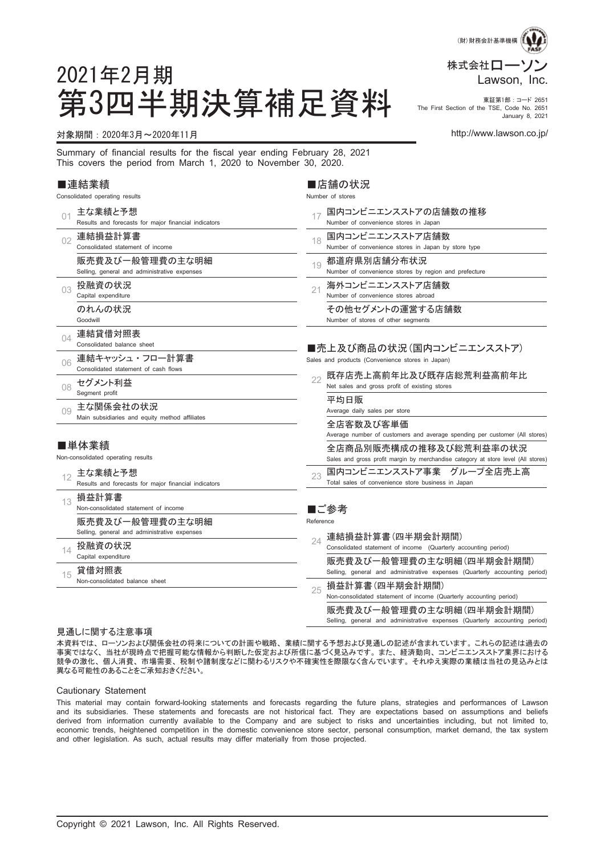

#### 第3四半期決算補足資料 市Erist Section of the TSE, Sast and, 2851 The First Section of the TSE, Code No. 2651 January 8, 2021

## 対象期間:2020年3月~2020年11月 http://www.lawson.co.jp/

2021年2月期

Summary of financial results for the fiscal year ending February 28, 2021 This covers the period from March 1, 2020 to November 30, 2020.

#### ■連結業績

|     | Consolidated operating results                                  | Number of stores                                                                                            |
|-----|-----------------------------------------------------------------|-------------------------------------------------------------------------------------------------------------|
| 01  | 主な業績と予想<br>Results and forecasts for major financial indicators | 国内コンビニエンスストアの店舗数の推移<br>17<br>Number of convenience stores in Japan                                          |
| 02  | 連結損益計算書<br>Consolidated statement of income                     | 国内コンビニエンスストア店舗数<br>18<br>Number of convenience stores in Japan by store type                                |
|     | 販売費及び一般管理費の主な明細<br>Selling, general and administrative expenses | 都道府県別店舗分布状況<br>19<br>Number of convenience stores by region and prefecture                                  |
| 03  | 投融資の状況<br>Capital expenditure                                   | 海外コンビニエンスストア店舗数<br>21<br>Number of convenience stores abroad                                                |
|     | のれんの状況<br>Goodwill                                              | その他セグメントの運営する店舗数<br>Number of stores of other segments                                                      |
| 04  | 連結貸借対照表<br>Consolidated balance sheet                           | ■売上及び商品の状況(国内コンビニエンスストア)                                                                                    |
| 06  | 連結キャッシュ・フロー計算書<br>Consolidated statement of cash flows          | Sales and products (Convenience stores in Japan)                                                            |
| 08  | セグメント利益<br>Segment profit                                       | 既存店売上高前年比及び既存店総荒利益高前年比<br>22<br>Net sales and gross profit of existing stores                               |
| 0.9 | 主な関係会社の状況<br>Main subsidiaries and equity method affiliates     | 平均日販<br>Average daily sales per store                                                                       |
|     |                                                                 | 全店客数及び客単価<br>Average number of customers and average spending per customer (All stores)                     |
|     | ■単体業績<br>Non-consolidated operating results                     | 全店商品別販売構成の推移及び総荒利益率の状況<br>Sales and gross profit margin by merchandise category at store level (All stores) |
| 12  | 主な業績と予想<br>Results and forecasts for major financial indicators | 国内コンビニエンスストア事業 グループ全店売上高<br>23<br>Total sales of convenience store business in Japan                        |
| 13  | 損益計算書<br>Non-consolidated statement of income                   | ■ご参考                                                                                                        |
|     | 販売費及び一般管理費の主な明細<br>Selling, general and administrative expenses | Reference<br>連結損益計算書(四半期会計期間)                                                                               |
| 14  | 投融資の状況<br>Capital expenditure                                   | 24<br>Consolidated statement of income (Quarterly accounting period)                                        |
| 15  | 貸借対照表<br>Non-consolidated balance sheet                         | 販売費及び一般管理費の主な明細(四半期会計期間)<br>Selling, general and administrative expenses (Quarterly accounting period)      |
|     |                                                                 | 損益計算書(四半期会計期間)<br>25<br>Non-consolidated statement of income (Quarterly accounting period)                  |
|     |                                                                 | 販売費及び一般管理費の主な明細(四半期会計期間)<br>Selling, general and administrative expenses (Quarterly accounting period)      |

■店舗の状況

#### 見通しに関する注意事項

本資料では、 ローソンおよび関係会社の将来についての計画や戦略、 業績に関する予想および見通しの記述が含まれています。 これらの記述は過去の 事実ではなく、 当社が現時点で把握可能な情報から判断した仮定および所信に基づく見込みです。 また、 経済動向、 コンビニエンスストア業界における 競争の激化、 個人消費、 市場需要、 税制や諸制度などに関わるリスクや不確実性を際限なく含んでいます。 それゆえ実際の業績は当社の見込みとは 異なる可能性のあることをご承知おきください。

#### Cautionary Statement

This material may contain forward-looking statements and forecasts regarding the future plans, strategies and performances of Lawson and its subsidiaries. These statements and forecasts are not historical fact. They are expectations based on assumptions and beliefs derived from information currently available to the Company and are subject to risks and uncertainties including, but not limited to, economic trends, heightened competition in the domestic convenience store sector, personal consumption, market demand, the tax system and other legislation. As such, actual results may differ materially from those projected.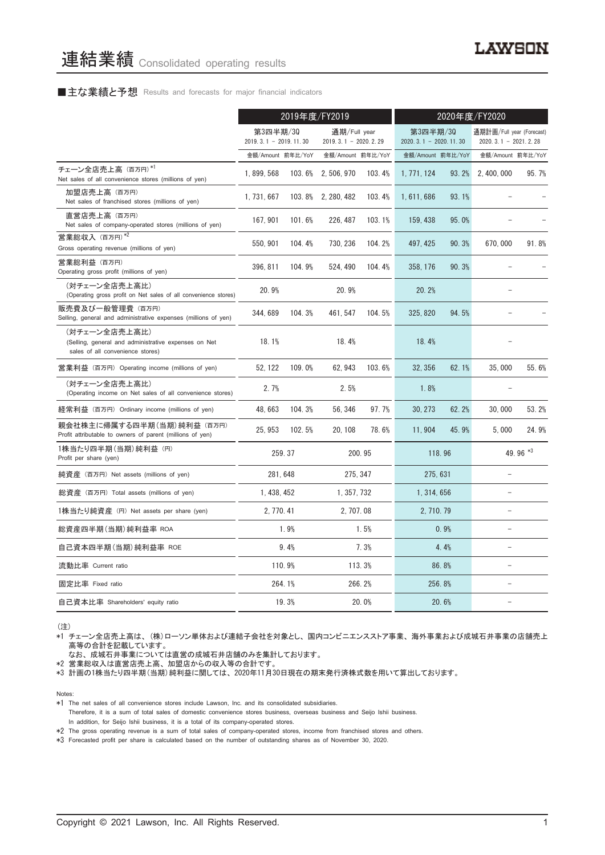# ■主な業績と予想 Results and forecasts for major financial indicators

|                                                                                                           | 2019年度/FY2019                       |        |                                        | 2020年度/FY2020 |                                     |       |                                                     |          |
|-----------------------------------------------------------------------------------------------------------|-------------------------------------|--------|----------------------------------------|---------------|-------------------------------------|-------|-----------------------------------------------------|----------|
|                                                                                                           | 第3四半期/30<br>$2019.3.1 - 2019.11.30$ |        | 通期/Full year<br>$2019.3.1 - 2020.2.29$ |               | 第3四半期/30<br>$2020.3.1 - 2020.11.30$ |       | 通期計画/Full year (Forecast)<br>$2020.3.1 - 2021.2.28$ |          |
|                                                                                                           | 金額/Amount 前年比/YoY                   |        | 金額/Amount 前年比/YoY                      |               | 金額/Amount 前年比/YoY                   |       | 金額/Amount 前年比/YoY                                   |          |
| チェーン全店売上高 (百万円)*1<br>Net sales of all convenience stores (millions of yen)                                | 1.899.568                           | 103.6% | 2, 506, 970                            | 103.4%        | 1, 771, 124                         | 93.2% | 2.400.000                                           | 95.7%    |
| 加盟店売上高 (百万円)<br>Net sales of franchised stores (millions of yen)                                          | 1, 731, 667                         |        | 103.8% 2, 280, 482                     | 103.4%        | 1, 611, 686                         | 93.1% |                                                     |          |
| 直営店売上高(百万円)<br>Net sales of company-operated stores (millions of yen)                                     | 167, 901                            | 101.6% | 226, 487                               | 103.1%        | 159, 438                            | 95.0% |                                                     |          |
| 営業総収入 (百万円)*2<br>Gross operating revenue (millions of yen)                                                | 550, 901                            | 104.4% | 730, 236                               | 104.2%        | 497, 425                            | 90.3% | 670,000                                             | 91.8%    |
| 営業総利益 (百万円)<br>Operating gross profit (millions of yen)                                                   | 396, 811                            | 104.9% | 524, 490                               | 104.4%        | 358, 176                            | 90.3% |                                                     |          |
| (対チェーン全店売上高比)<br>(Operating gross profit on Net sales of all convenience stores)                          | 20.9%                               |        | 20.9%                                  |               | 20.2%                               |       |                                                     |          |
| 販売費及び一般管理費(百万円)<br>Selling, general and administrative expenses (millions of yen)                         | 344, 689                            | 104.3% | 461, 547                               | 104.5%        | 325, 820                            | 94.5% |                                                     |          |
| (対チェーン全店売上高比)<br>(Selling, general and administrative expenses on Net<br>sales of all convenience stores) | 18.1%                               |        | 18.4%                                  |               | 18.4%                               |       |                                                     |          |
| 営業利益 (百万円) Operating income (millions of yen)                                                             | 52.122                              | 109.0% | 62.943                                 | 103.6%        | 32.356                              | 62.1% | 35,000                                              | 55.6%    |
| (対チェーン全店売上高比)<br>(Operating income on Net sales of all convenience stores)                                | 2.7%                                |        | 2.5%                                   |               | 1.8%                                |       |                                                     |          |
| 経常利益(百万円)Ordinary income (millions of yen)                                                                | 48, 663                             | 104.3% | 56, 346                                | 97.7%         | 30, 273                             | 62.2% | 30,000                                              | 53.2%    |
| 親会社株主に帰属する四半期 (当期) 純利益 (百万円)<br>Profit attributable to owners of parent (millions of yen)                 | 25.953                              | 102.5% | 20, 108                                | 78.6%         | 11.904                              | 45.9% | 5,000                                               | 24.9%    |
| 1株当たり四半期 (当期) 純利益 (円)<br>Profit per share (yen)                                                           |                                     | 259.37 |                                        | 200.95        | 118.96                              |       |                                                     | 49.96 *3 |
| 純資産 (百万円) Net assets (millions of yen)                                                                    | 281.648                             |        | 275.347                                |               | 275.631                             |       | $\equiv$                                            |          |
| 総資産 (百万円) Total assets (millions of yen)                                                                  | 1, 438, 452                         |        | 1, 357, 732                            |               | 1, 314, 656                         |       |                                                     |          |
| 1株当たり純資産 (円) Net assets per share (yen)                                                                   | 2, 770, 41                          |        | 2, 707.08                              |               | 2, 710, 79                          |       | $\equiv$                                            |          |
| 総資産四半期(当期) 純利益率 ROA                                                                                       |                                     | 1.9%   |                                        | 1.5%          |                                     | 0.9%  |                                                     |          |
| 自己資本四半期(当期)純利益率 ROE                                                                                       |                                     | 9.4%   |                                        | 7.3%          |                                     | 4.4%  |                                                     |          |
| 流動比率 Current ratio                                                                                        |                                     | 110.9% |                                        | 113.3%        |                                     | 86.8% |                                                     |          |
| 固定比率 Fixed ratio                                                                                          |                                     | 264.1% |                                        | 266.2%        | 256.8%                              |       |                                                     |          |
| 自己資本比率 Shareholders' equity ratio                                                                         |                                     | 19.3%  |                                        | 20.0%         |                                     | 20.6% |                                                     |          |

(注)

\*1 チェーン全店売上高は、 (株)ローソン単体および連結子会社を対象とし、 国内コンビニエンスストア事業、 海外事業および成城石井事業の店舗売上 高等の合計を記載しています。

なお、 成城石井事業については直営の成城石井店舗のみを集計しております。

\*2 営業総収入は直営店売上高、 加盟店からの収入等の合計です。

\*3 計画の1株当たり四半期(当期)純利益に関しては、 2020年11月30日現在の期末発行済株式数を用いて算出しております。

Notes:

- \*1 The net sales of all convenience stores include Lawson, Inc. and its consolidated subsidiaries.
- Therefore, it is a sum of total sales of domestic convenience stores business, overseas business and Seijo Ishii business. In addition, for Seijo Ishii business, it is a total of its company-operated stores.

\*2 The gross operating revenue is a sum of total sales of company-operated stores, income from franchised stores and others.

\*3 Forecasted profit per share is calculated based on the number of outstanding shares as of November 30, 2020.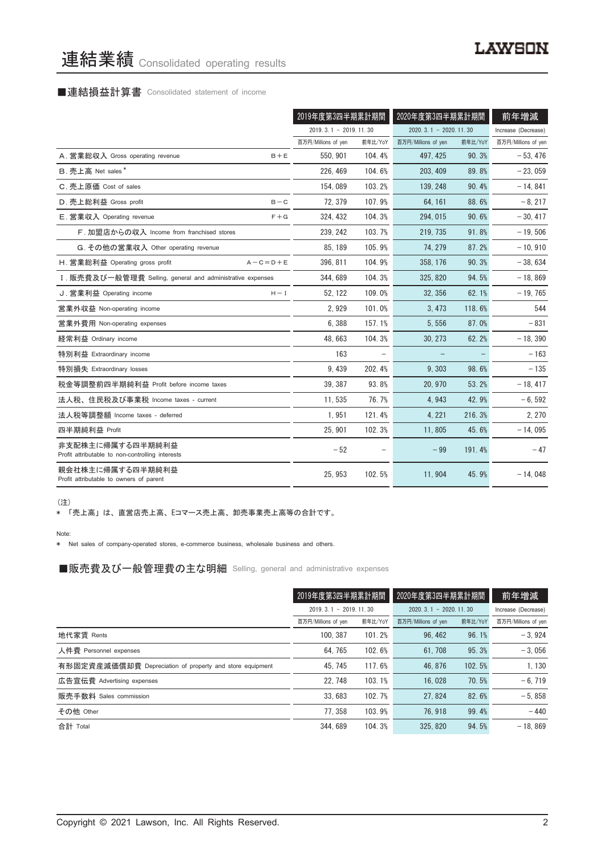# 連結業績 Consolidated operating results

# ■連結損益計算書 Consolidated statement of income

|                                                                      |                 | 2019年度第3四半期累計期間         |         | 2020年度第3四半期累計期間         |         | 前年増減                |
|----------------------------------------------------------------------|-----------------|-------------------------|---------|-------------------------|---------|---------------------|
|                                                                      |                 | $2019.3.1 - 2019.11.30$ |         | $2020.3.1 - 2020.11.30$ |         | Increase (Decrease) |
|                                                                      |                 | 百万円/Millions of yen     | 前年比/YoY | 百万円/Millions of yen     | 前年比/YoY | 百万円/Millions of yen |
| A. 営業総収入 Gross operating revenue                                     | $B + E$         | 550.901                 | 104.4%  | 497.425                 | 90.3%   | $-53.476$           |
| B. 売上高 Net sales*                                                    |                 | 226, 469                | 104.6%  | 203, 409                | 89.8%   | $-23,059$           |
| C. 売上原価 Cost of sales                                                |                 | 154,089                 | 103.2%  | 139.248                 | 90.4%   | $-14, 841$          |
| D. 売上総利益 Gross profit                                                | $B - C$         | 72, 379                 | 107.9%  | 64, 161                 | 88.6%   | $-8, 217$           |
| E. 営業収入 Operating revenue                                            | $F + G$         | 324.432                 | 104.3%  | 294.015                 | 90.6%   | $-30.417$           |
| F. 加盟店からの収入 Income from franchised stores                            |                 | 239, 242                | 103.7%  | 219, 735                | 91.8%   | $-19,506$           |
| G. その他の営業収入 Other operating revenue                                  |                 | 85, 189                 | 105.9%  | 74.279                  | 87.2%   | $-10,910$           |
| H. 営業総利益 Operating gross profit                                      | $A - C = D + E$ | 396, 811                | 104.9%  | 358, 176                | 90.3%   | $-38,634$           |
| I. 販売費及び一般管理費 Selling, general and administrative expenses           |                 | 344.689                 | 104.3%  | 325, 820                | 94.5%   | $-18.869$           |
| J. 営業利益 Operating income                                             | $H - I$         | 52, 122                 | 109.0%  | 32.356                  | 62.1%   | $-19,765$           |
| 営業外収益 Non-operating income                                           |                 | 2,929                   | 101.0%  | 3, 473                  | 118.6%  | 544                 |
| 営業外費用 Non-operating expenses                                         |                 | 6,388                   | 157.1%  | 5,556                   | 87.0%   | $-831$              |
| 経常利益 Ordinary income                                                 |                 | 48.663                  | 104.3%  | 30.273                  | 62.2%   | $-18.390$           |
| 特別利益 Extraordinary income                                            |                 | 163                     |         |                         |         | $-163$              |
| 特別損失 Extraordinary losses                                            |                 | 9.439                   | 202.4%  | 9.303                   | 98.6%   | $-135$              |
| 税金等調整前四半期純利益 Profit before income taxes                              |                 | 39, 387                 | 93.8%   | 20, 970                 | 53.2%   | $-18, 417$          |
| 法人税、住民税及び事業税 Income taxes - current                                  |                 | 11.535                  | 76.7%   | 4.943                   | 42.9%   | $-6,592$            |
| 法人税等調整額 Income taxes - deferred                                      |                 | 1,951                   | 121.4%  | 4, 221                  | 216.3%  | 2.270               |
| 四半期純利益 Profit                                                        |                 | 25.901                  | 102.3%  | 11.805                  | 45.6%   | $-14,095$           |
| 非支配株主に帰属する四半期純利益<br>Profit attributable to non-controlling interests |                 | $-52$                   |         | $-99$                   | 191.4%  | $-47$               |
| 親会社株主に帰属する四半期純利益<br>Profit attributable to owners of parent          |                 | 25, 953                 | 102.5%  | 11.904                  | 45.9%   | $-14,048$           |

(注)

\* 「売上高」 は、 直営店売上高、 Eコマース売上高、 卸売事業売上高等の合計です。

Note:

\* Net sales of company-operated stores, e-commerce business, wholesale business and others.

■販売費及び一般管理費の主な明細 Selling, general and administrative expenses

|                                                          | 2019年度第3四半期累計期間         |         | 2020年度第3四半期累計期間         |         | 前年増減                |
|----------------------------------------------------------|-------------------------|---------|-------------------------|---------|---------------------|
|                                                          | $2019.3.1 - 2019.11.30$ |         | $2020.3.1 - 2020.11.30$ |         | Increase (Decrease) |
|                                                          | 百万円/Millions of yen     | 前年比/YoY | 百万円/Millions of yen     | 前年比/YoY | 百万円/Millions of yen |
| 地代家賃 Rents                                               | 100.387                 | 101.2%  | 96, 462                 | 96.1%   | $-3.924$            |
| 人件費 Personnel expenses                                   | 64.765                  | 102.6%  | 61.708                  | 95.3%   | $-3.056$            |
| 有形固定資産減価償却費 Depreciation of property and store equipment | 45.745                  | 117.6%  | 46.876                  | 102.5%  | 1.130               |
| 広告宣伝費 Advertising expenses                               | 22.748                  | 103.1%  | 16.028                  | 70.5%   | $-6.719$            |
| 販売手数料 Sales commission                                   | 33.683                  | 102.7%  | 27.824                  | 82.6%   | $-5.858$            |
| その他 Other                                                | 77.358                  | 103.9%  | 76.918                  | 99.4%   | $-440$              |
| 合計 Total                                                 | 344, 689                | 104.3%  | 325, 820                | 94.5%   | $-18.869$           |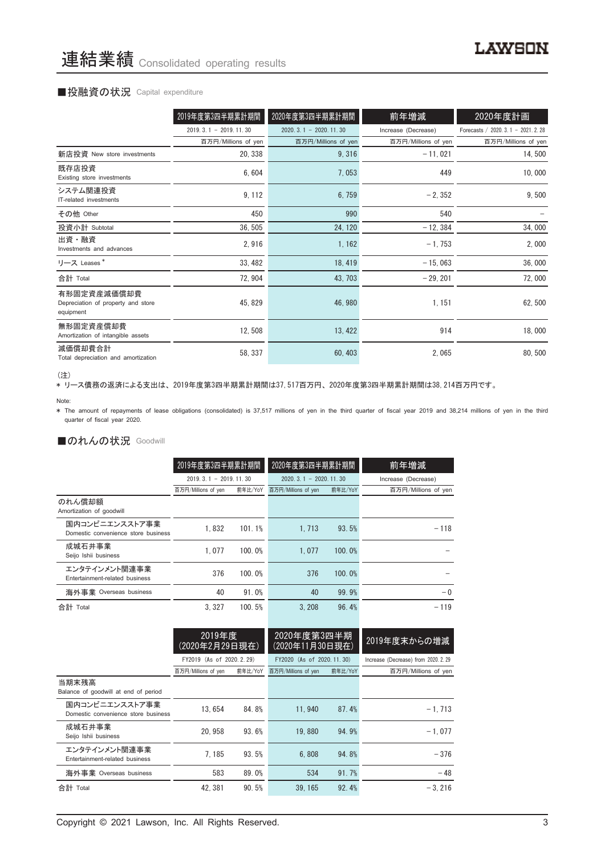# ■投融資の状況 Capital expenditure

|                                                                | 2019年度第3四半期累計期間         | 2020年度第3四半期累計期間         | 前年増減                | 2020年度計画                           |
|----------------------------------------------------------------|-------------------------|-------------------------|---------------------|------------------------------------|
|                                                                | $2019.3.1 - 2019.11.30$ | $2020.3.1 - 2020.11.30$ | Increase (Decrease) | Forecasts / 2020. 3.1 - 2021. 2.28 |
|                                                                | 百万円/Millions of yen     | 百万円/Millions of yen     | 百万円/Millions of yen | 百万円/Millions of yen                |
| 新店投資 New store investments                                     | 20, 338                 | 9,316                   | $-11,021$           | 14,500                             |
| 既存店投資<br>Existing store investments                            | 6,604                   | 7,053                   | 449                 | 10,000                             |
| システム関連投資<br>IT-related investments                             | 9, 112                  | 6,759                   | $-2, 352$           | 9,500                              |
| その他 Other                                                      | 450                     | 990                     | 540                 |                                    |
| 投資小計 Subtotal                                                  | 36, 505                 | 24, 120                 | $-12, 384$          | 34,000                             |
| 出資・融資<br>Investments and advances                              | 2,916                   | 1, 162                  | $-1,753$            | 2,000                              |
| リース Leases*                                                    | 33, 482                 | 18, 419                 | $-15,063$           | 36,000                             |
| 合計 Total                                                       | 72, 904                 | 43, 703                 | $-29, 201$          | 72,000                             |
| 有形固定資産減価償却費<br>Depreciation of property and store<br>equipment | 45, 829                 | 46, 980                 | 1, 151              | 62,500                             |
| 無形固定資産償却費<br>Amortization of intangible assets                 | 12,508                  | 13, 422                 | 914                 | 18,000                             |
| 減価償却費合計<br>Total depreciation and amortization                 | 58, 337                 | 60, 403                 | 2,065               | 80, 500                            |

<sup>(</sup>注)

、----<br>\* リース債務の返済による支出は、2019年度第3四半期累計期間は37,517百万円、2020年度第3四半期累計期間は38,214百万円です。

\* The amount of repayments of lease obligations (consolidated) is 37,517 millions of yen in the third quarter of fiscal year 2019 and 38,214 millions of yen in the third quarter of fiscal year 2020.

# ■のれんの状況 Goodwill

|                                                       | 2019年度第3四半期累計期間         |         | 2020年度第3四半期累計期間         |         | 前年増減                |  |
|-------------------------------------------------------|-------------------------|---------|-------------------------|---------|---------------------|--|
|                                                       | $2019.3.1 - 2019.11.30$ |         | $2020.3.1 - 2020.11.30$ |         | Increase (Decrease) |  |
|                                                       | 百万円/Millions of yen     | 前年比/YoY | 百万円/Millions of yen     | 前年比/YoY | 百万円/Millions of yen |  |
| のれん償却額<br>Amortization of goodwill                    |                         |         |                         |         |                     |  |
| 国内コンビニエンスストア事業<br>Domestic convenience store business | 1.832                   | 101.1%  | 1.713                   | 93.5%   | $-118$              |  |
| 成城石井事業<br>Seijo Ishii business                        | 1.077                   | 100.0%  | 1.077                   | 100.0%  |                     |  |
| エンタテインメント関連事業<br>Entertainment-related business       | 376                     | 100.0%  | 376                     | 100.0%  |                     |  |
| 海外事業 Overseas business                                | 40                      | 91.0%   | 40                      | 99.9%   | $-0$                |  |
| 合計 Total                                              | 3.327                   | 100.5%  | 3.208                   | 96.4%   | $-119$              |  |

|                                                       | 2019年度<br>(2020年2月29日現在)   |         | 2020年度第3四半期<br>(2020年11月30日現在) |         | 2019年度末からの増減                         |
|-------------------------------------------------------|----------------------------|---------|--------------------------------|---------|--------------------------------------|
|                                                       | FY2019 (As of 2020, 2, 29) |         | FY2020 (As of 2020, 11, 30)    |         | Increase (Decrease) from 2020. 2. 29 |
|                                                       | 百万円/Millions of yen        | 前年比/YoY | 百万円/Millions of yen            | 前年比/YoY | 百万円/Millions of yen                  |
| 当期末残高<br>Balance of goodwill at end of period         |                            |         |                                |         |                                      |
| 国内コンビニエンスストア事業<br>Domestic convenience store business | 13.654                     | 84.8%   | 11.940                         | 87.4%   | $-1.713$                             |
| 成城石井事業<br>Seijo Ishii business                        | 20.958                     | 93.6%   | 19.880                         | 94.9%   | $-1.077$                             |
| エンタテインメント関連事業<br>Entertainment-related business       | 7.185                      | 93.5%   | 6.808                          | 94.8%   | $-376$                               |
| 海外事業 Overseas business                                | 583                        | 89.0%   | 534                            | 91.7%   | $-48$                                |
| 合計 Total                                              | 42.381                     | 90.5%   | 39.165                         | 92.4%   | $-3.216$                             |

Note: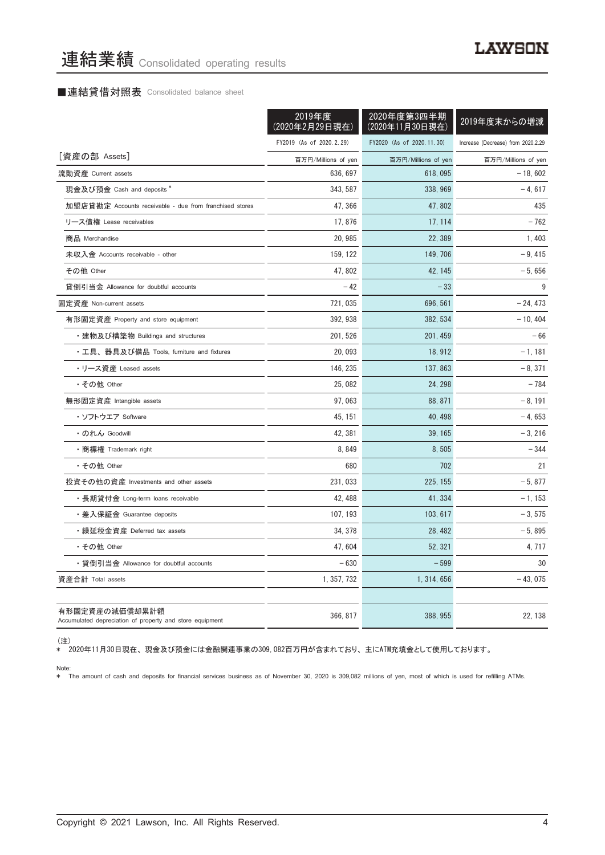# ■連結貸借対照表 Consolidated balance sheet

|                                                                            | 2019年度<br>(2020年2月29日現在) | 2020年度第3四半期<br>(2020年11月30日現在) | 2019年度末からの増減                       |
|----------------------------------------------------------------------------|--------------------------|--------------------------------|------------------------------------|
|                                                                            | FY2019 (As of 2020.2.29) | FY2020 (As of 2020.11.30)      | Increase (Decrease) from 2020.2.29 |
| [資産の部 Assets]                                                              | 百万円/Millions of yen      | 百万円/Millions of yen            | 百万円/Millions of yen                |
| 流動資産 Current assets                                                        | 636, 697                 | 618,095                        | $-18,602$                          |
| 現金及び預金 Cash and deposits *                                                 | 343.587                  | 338, 969                       | $-4,617$                           |
| 加盟店貸勘定 Accounts receivable - due from franchised stores                    | 47, 366                  | 47,802                         | 435                                |
| リース債権 Lease receivables                                                    | 17,876                   | 17, 114                        | $-762$                             |
| 商品 Merchandise                                                             | 20, 985                  | 22, 389                        | 1,403                              |
| 未収入金 Accounts receivable - other                                           | 159, 122                 | 149, 706                       | $-9,415$                           |
| その他 Other                                                                  | 47.802                   | 42, 145                        | $-5,656$                           |
| 貸倒引当金 Allowance for doubtful accounts                                      | $-42$                    | $-33$                          | 9                                  |
| 固定資産 Non-current assets                                                    | 721,035                  | 696.561                        | $-24.473$                          |
| 有形固定資産 Property and store equipment                                        | 392.938                  | 382.534                        | $-10.404$                          |
| ・建物及び構築物 Buildings and structures                                          | 201, 526                 | 201, 459                       | $-66$                              |
| ・工具、器具及び備品 Tools, furniture and fixtures                                   | 20,093                   | 18, 912                        | $-1,181$                           |
| ・リース資産 Leased assets                                                       | 146, 235                 | 137, 863                       | $-8,371$                           |
| ・その他 Other                                                                 | 25,082                   | 24, 298                        | $-784$                             |
| 無形固定資産 Intangible assets                                                   | 97,063                   | 88, 871                        | - 8, 191                           |
| ・ソフトウエア Software                                                           | 45, 151                  | 40, 498                        | - 4, 653                           |
| ・のれん Goodwill                                                              | 42, 381                  | 39, 165                        | $-3, 216$                          |
| •商標権 Trademark right                                                       | 8,849                    | 8,505                          | $-344$                             |
| ・その他 Other                                                                 | 680                      | 702                            | 21                                 |
| 投資その他の資産 Investments and other assets                                      | 231,033                  | 225, 155                       | $-5,877$                           |
| ・長期貸付金 Long-term loans receivable                                          | 42, 488                  | 41, 334                        | $-1, 153$                          |
| ・差入保証金 Guarantee deposits                                                  | 107, 193                 | 103, 617                       | $-3,575$                           |
| ・繰延税金資産 Deferred tax assets                                                | 34, 378                  | 28, 482                        | $-5,895$                           |
| • その他 Other                                                                | 47.604                   | 52, 321                        | 4, 717                             |
| ・貸倒引当金 Allowance for doubtful accounts                                     | $-630$                   | $-599$                         | 30                                 |
| 資産合計 Total assets                                                          | 1, 357, 732              | 1, 314, 656                    | $-43,075$                          |
|                                                                            |                          |                                |                                    |
| 有形固定資産の減価償却累計額<br>Accumulated depreciation of property and store equipment | 366, 817                 | 388, 955                       | 22, 138                            |

(注)

\* 2020年11月30日現在、 現金及び預金には金融関連事業の309,082百万円が含まれており、 主にATM充填金として使用しております。

Note: \* The amount of cash and deposits for financial services business as of November 30, 2020 is 309,082 millions of yen, most of which is used for refilling ATMs.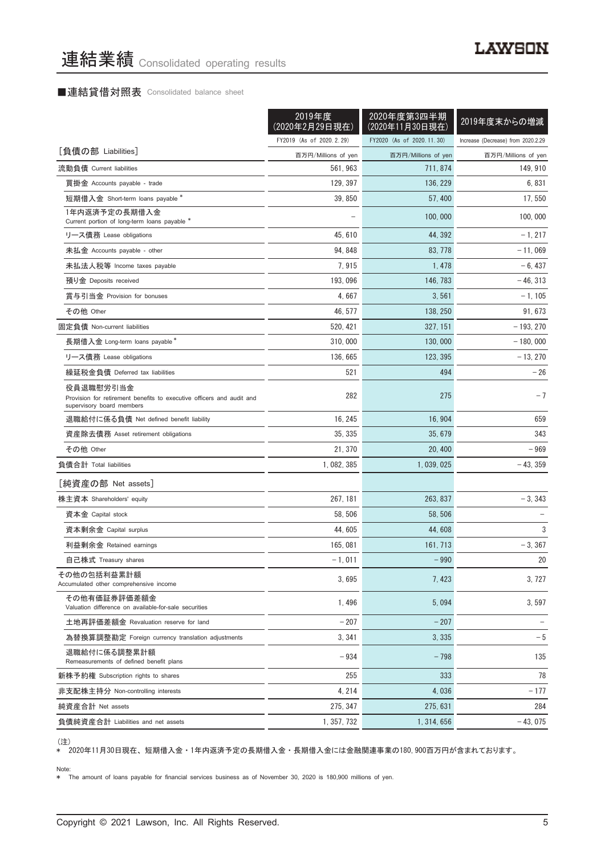# ■連結貸借対照表 Consolidated balance sheet

|                                                                                                                 | 2019年度<br>(2020年2月29日現在) | 2020年度第3四半期<br>(2020年11月30日現在) | 2019年度末からの増減                       |
|-----------------------------------------------------------------------------------------------------------------|--------------------------|--------------------------------|------------------------------------|
|                                                                                                                 | FY2019 (As of 2020.2.29) | FY2020 (As of 2020, 11, 30)    | Increase (Decrease) from 2020.2.29 |
| [負債の部 Liabilities]                                                                                              | 百万円/Millions of yen      | 百万円/Millions of yen            | 百万円/Millions of yen                |
| 流動負債 Current liabilities                                                                                        | 561, 963                 | 711, 874                       | 149, 910                           |
| 買掛金 Accounts payable - trade                                                                                    | 129, 397                 | 136, 229                       | 6,831                              |
| 短期借入金 Short-term loans payable *                                                                                | 39, 850                  | 57, 400                        | 17, 550                            |
| 1年内返済予定の長期借入金<br>Current portion of long-term loans payable *                                                   |                          | 100,000                        | 100,000                            |
| リース債務 Lease obligations                                                                                         | 45, 610                  | 44, 392                        | $-1, 217$                          |
| 未払金 Accounts payable - other                                                                                    | 94, 848                  | 83, 778                        | $-11,069$                          |
| 未払法人税等 Income taxes payable                                                                                     | 7,915                    | 1,478                          | $-6,437$                           |
| 預り金 Deposits received                                                                                           | 193, 096                 | 146, 783                       | $-46, 313$                         |
| 賞与引当金 Provision for bonuses                                                                                     | 4,667                    | 3,561                          | $-1, 105$                          |
| その他 Other                                                                                                       | 46, 577                  | 138, 250                       | 91, 673                            |
| 固定負債 Non-current liabilities                                                                                    | 520, 421                 | 327, 151                       | $-193, 270$                        |
| 長期借入金 Long-term loans payable*                                                                                  | 310,000                  | 130,000                        | $-180,000$                         |
| リース債務 Lease obligations                                                                                         | 136, 665                 | 123, 395                       | $-13, 270$                         |
| 繰延税金負債 Deferred tax liabilities                                                                                 | 521                      | 494                            | $-26$                              |
| 役員退職慰労引当金<br>Provision for retirement benefits to executive officers and audit and<br>supervisory board members | 282                      | 275                            | $-7$                               |
| 退職給付に係る負債 Net defined benefit liability                                                                         | 16, 245                  | 16, 904                        | 659                                |
| 資産除去債務 Asset retirement obligations                                                                             | 35, 335                  | 35, 679                        | 343                                |
| その他 Other                                                                                                       | 21, 370                  | 20, 400                        | $-969$                             |
| 負債合計 Total liabilities                                                                                          | 1, 082, 385              | 1, 039, 025                    | $-43, 359$                         |
| [純資産の部 Net assets]                                                                                              |                          |                                |                                    |
| 株主資本 Shareholders' equity                                                                                       | 267, 181                 | 263, 837                       | $-3, 343$                          |
| 資本金 Capital stock                                                                                               | 58, 506                  | 58, 506                        |                                    |
| 資本剰余金 Capital surplus                                                                                           | 44, 605                  | 44,608                         | 3                                  |
| 利益剰余金 Retained earnings                                                                                         | 165,081                  | 161, 713                       | $-3, 367$                          |
| 自己株式 Treasury shares                                                                                            | $-1,011$                 | $-990$                         | 20                                 |
| その他の包括利益累計額<br>Accumulated other comprehensive income                                                           | 3,695                    | 7,423                          | 3,727                              |
| その他有価証券評価差額金<br>Valuation difference on available-for-sale securities                                           | 1, 496                   | 5,094                          | 3,597                              |
| 土地再評価差額金 Revaluation reserve for land                                                                           | $-207$                   | $-207$                         |                                    |
| 為替換算調整勘定 Foreign currency translation adjustments                                                               | 3, 341                   | 3,335                          | $-5$                               |
| 退職給付に係る調整累計額<br>Remeasurements of defined benefit plans                                                         | $-934$                   | $-798$                         | 135                                |
| 新株予約権 Subscription rights to shares                                                                             | 255                      | 333                            | 78                                 |
| 非支配株主持分 Non-controlling interests                                                                               | 4, 214                   | 4,036                          | $-177$                             |
| 純資産合計 Net assets                                                                                                | 275, 347                 | 275, 631                       | 284                                |
| 負債純資産合計 Liabilities and net assets                                                                              | 1, 357, 732              | 1, 314, 656                    | $-43,075$                          |

、~~~<br>\* 2020年11月30日現在、短期借入金・1年内返済予定の長期借入金・長期借入金には金融関連事業の180,900百万円が含まれております。

#### Note:

\* The amount of loans payable for financial services business as of November 30, 2020 is 180,900 millions of yen.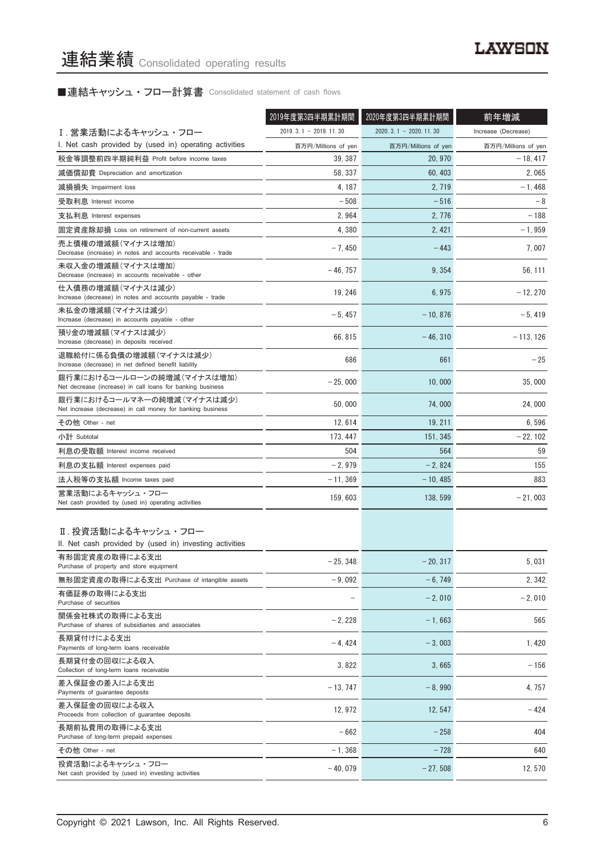# ■連結キャッシュ・フロー計算書 Consolidated statement of cash flows

|                                                                                          | 2019年度第3四半期累計期間         | 2020年度第3四半期累計期間         | 前年増減                |
|------------------------------------------------------------------------------------------|-------------------------|-------------------------|---------------------|
| Ⅰ. 営業活動によるキャッシュ・フロー                                                                      | $2019.3.1 - 2019.11.30$ | $2020.3.1 - 2020.11.30$ | Increase (Decrease) |
| I. Net cash provided by (used in) operating activities                                   | 百万円/Millions of yen     | 百万円/Millions of yen     | 百万円/Millions of yen |
| 税金等調整前四半期純利益 Profit before income taxes                                                  | 39, 387                 | 20, 970                 | $-18, 417$          |
| 減価償却費 Depreciation and amortization                                                      | 58, 337                 | 60.403                  | 2,065               |
| 減損損失 Impairment loss                                                                     | 4, 187                  | 2, 719                  | $-1,468$            |
| 受取利息 Interest income                                                                     | $-508$                  | $-516$                  | - 8                 |
| 支払利息 Interest expenses                                                                   | 2,964                   | 2, 776                  | $-188$              |
| 固定資産除却損 Loss on retirement of non-current assets                                         | 4,380                   | 2, 421                  | $-1.959$            |
| 売上債権の増減額(マイナスは増加)<br>Decrease (increase) in notes and accounts receivable - trade        | $-7,450$                | $-443$                  | 7.007               |
| 未収入金の増減額(マイナスは増加)<br>Decrease (increase) in accounts receivable - other                  | $-46, 757$              | 9, 354                  | 56, 111             |
| 仕入債務の増減額(マイナスは減少)<br>Increase (decrease) in notes and accounts payable - trade           | 19, 246                 | 6,975                   | $-12, 270$          |
| 未払金の増減額(マイナスは減少)<br>Increase (decrease) in accounts payable - other                      | $-5,457$                | $-10, 876$              | $-5,419$            |
| 預り金の増減額(マイナスは減少)<br>Increase (decrease) in deposits received                             | 66, 815                 | $-46, 310$              | $-113, 126$         |
| 退職給付に係る負債の増減額(マイナスは減少)<br>Increase (decrease) in net defined benefit liability           | 686                     | 661                     | $-25$               |
| 銀行業におけるコールローンの純増減(マイナスは増加)<br>Net decrease (increase) in call loans for banking business | $-25,000$               | 10,000                  | 35,000              |
| 銀行業におけるコールマネーの純増減(マイナスは減少)<br>Net increase (decrease) in call money for banking business | 50,000                  | 74,000                  | 24,000              |
| その他 Other - net                                                                          | 12,614                  | 19, 211                 | 6,596               |
| 小計 Subtotal                                                                              | 173, 447                | 151, 345                | $-22, 102$          |
| 利息の受取額 Interest income received                                                          | 504                     | 564                     | 59                  |
| 利息の支払額 Interest expenses paid                                                            | $-2,979$                | $-2,824$                | 155                 |
| 法人税等の支払額 Income taxes paid                                                               | $-11, 369$              | - 10, 485               | 883                 |
| 営業活動によるキャッシュ・フロー<br>Net cash provided by (used in) operating activities                  | 159, 603                | 138, 599                | $-21,003$           |
| Ⅱ. 投資活動によるキャッシュ・フロー<br>II. Net cash provided by (used in) investing activities           |                         |                         |                     |
| 有形固定資産の取得による支出<br>Purchase of property and store equipment                               | $-25, 348$              | $-20, 317$              | 5,031               |
| 無形固定資産の取得による支出 Purchase of intangible assets                                             | $-9,092$                | $-6.749$                | 2, 342              |
| 有価証券の取得による支出<br>Purchase of securities                                                   |                         | $-2,010$                | $-2,010$            |
| 関係会社株式の取得による支出<br>Purchase of shares of subsidiaries and associates                      | $-2,228$                | $-1,663$                | 565                 |
| 長期貸付けによる支出<br>Payments of long-term loans receivable                                     | $-4.424$                | $-3,003$                | 1, 420              |
| 長期貸付金の回収による収入<br>Collection of long-term loans receivable                                | 3,822                   | 3,665                   | $-156$              |
| 差入保証金の差入による支出<br>Payments of guarantee deposits                                          | $-13, 747$              | $-8,990$                | 4,757               |
| 差入保証金の回収による収入<br>Proceeds from collection of guarantee deposits                          | 12, 972                 | 12, 547                 | - 424               |
| 長期前払費用の取得による支出<br>Purchase of long-term prepaid expenses                                 | $-662$                  | $-258$                  | 404                 |
| その他 Other - net                                                                          | $-1,368$                | $-728$                  | 640                 |
| 投資活動によるキャッシュ・フロー<br>Net cash provided by (used in) investing activities                  | $-40,079$               | $-27,508$               | 12,570              |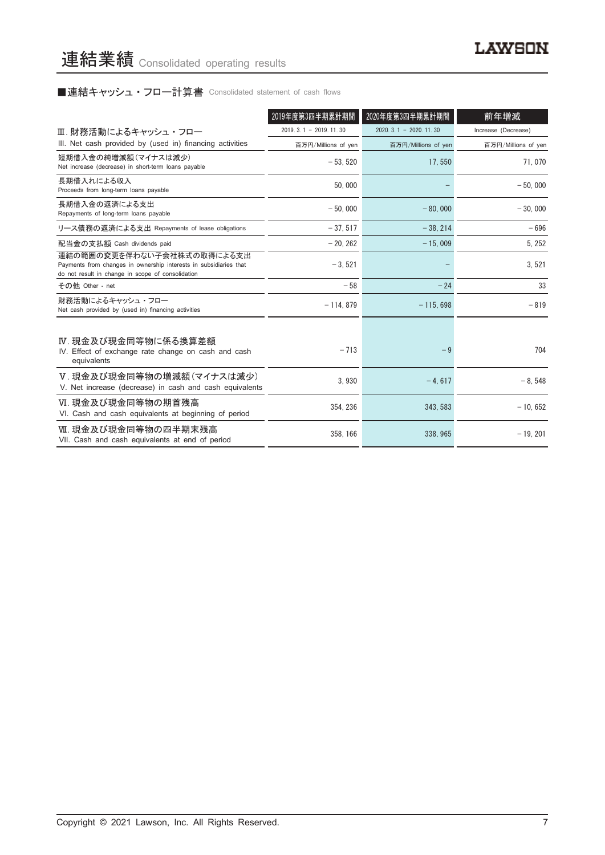# ■連結キャッシュ・フロー計算書 Consolidated statement of cash flows

|                                                                                                                                                      | 2019年度第3四半期累計期間         | 2020年度第3四半期累計期間             | 前年増減                |
|------------------------------------------------------------------------------------------------------------------------------------------------------|-------------------------|-----------------------------|---------------------|
| Ⅲ. 財務活動によるキャッシュ・フロー                                                                                                                                  | $2019.3.1 - 2019.11.30$ | $2020, 3, 1 - 2020, 11, 30$ | Increase (Decrease) |
| III. Net cash provided by (used in) financing activities                                                                                             | 百万円/Millions of yen     | 百万円/Millions of yen         | 百万円/Millions of yen |
| 短期借入金の純増減額 (マイナスは減少)<br>Net increase (decrease) in short-term loans payable                                                                          | $-53.520$               | 17,550                      | 71,070              |
| 長期借入れによる収入<br>Proceeds from long-term loans payable                                                                                                  | 50.000                  |                             | $-50.000$           |
| 長期借入金の返済による支出<br>Repayments of long-term loans payable                                                                                               | $-50.000$               | $-80,000$                   | $-30.000$           |
| リース債務の返済による支出 Repayments of lease obligations                                                                                                        | $-37.517$               | $-38, 214$                  | $-696$              |
| 配当金の支払額 Cash dividends paid                                                                                                                          | $-20.262$               | $-15,009$                   | 5, 252              |
| 連結の範囲の変更を伴わない子会社株式の取得による支出<br>Payments from changes in ownership interests in subsidiaries that<br>do not result in change in scope of consolidation | $-3.521$                |                             | 3,521               |
| その他 Other - net                                                                                                                                      | $-58$                   | $-24$                       | 33                  |
| 財務活動によるキャッシュ・フロー<br>Net cash provided by (used in) financing activities                                                                              | $-114, 879$             | $-115,698$                  | $-819$              |
| Ⅳ. 現金及び現金同等物に係る換算差額<br>IV. Effect of exchange rate change on cash and cash<br>equivalents                                                            | $-713$                  | $-9$                        | 704                 |
| V. 現金及び現金同等物の増減額(マイナスは減少)<br>V. Net increase (decrease) in cash and cash equivalents                                                                 | 3.930                   | $-4.617$                    | $-8.548$            |
| VI. 現金及び現金同等物の期首残高<br>VI. Cash and cash equivalents at beginning of period                                                                           | 354, 236                | 343, 583                    | $-10,652$           |
| Ⅶ. 現金及び現金同等物の四半期末残高<br>VII. Cash and cash equivalents at end of period                                                                               | 358.166                 | 338.965                     | $-19.201$           |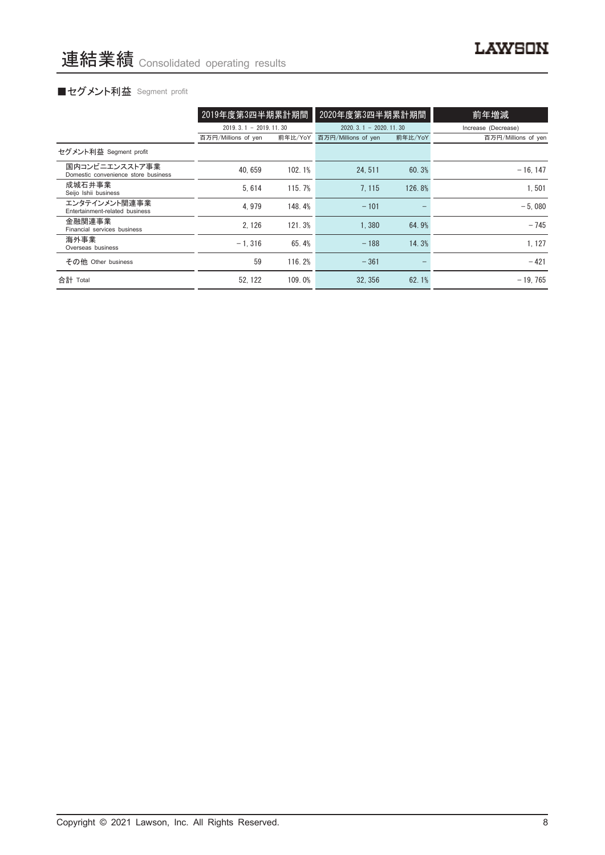# ■セグメント利益 Segment profit

|                                                       | 2019年度第3四半期累計期間         |         | 2020年度第3四半期累計期間             |         | 前年増減                |
|-------------------------------------------------------|-------------------------|---------|-----------------------------|---------|---------------------|
|                                                       | $2019.3.1 - 2019.11.30$ |         | $2020, 3, 1 - 2020, 11, 30$ |         | Increase (Decrease) |
|                                                       | 百万円/Millions of yen     | 前年比/YoY | 百万円/Millions of yen         | 前年比/YoY | 百万円/Millions of yen |
| セグメント利益 Segment profit                                |                         |         |                             |         |                     |
| 国内コンビニエンスストア事業<br>Domestic convenience store business | 40.659                  | 102.1%  | 24.511                      | 60.3%   | $-16.147$           |
| 成城石井事業<br>Seijo Ishii business                        | 5.614                   | 115.7%  | 7.115                       | 126.8%  | 1.501               |
| エンタテインメント関連事業<br>Entertainment-related business       | 4.979                   | 148.4%  | $-101$                      |         | $-5.080$            |
| 金融関連事業<br>Financial services business                 | 2.126                   | 121.3%  | 1.380                       | 64.9%   | $-745$              |
| 海外事業<br>Overseas business                             | $-1.316$                | 65.4%   | $-188$                      | 14.3%   | 1, 127              |
| その他 Other business                                    | 59                      | 116.2%  | $-361$                      |         | $-421$              |
| 合計 Total                                              | 52.122                  | 109.0%  | 32.356                      | 62.1%   | $-19.765$           |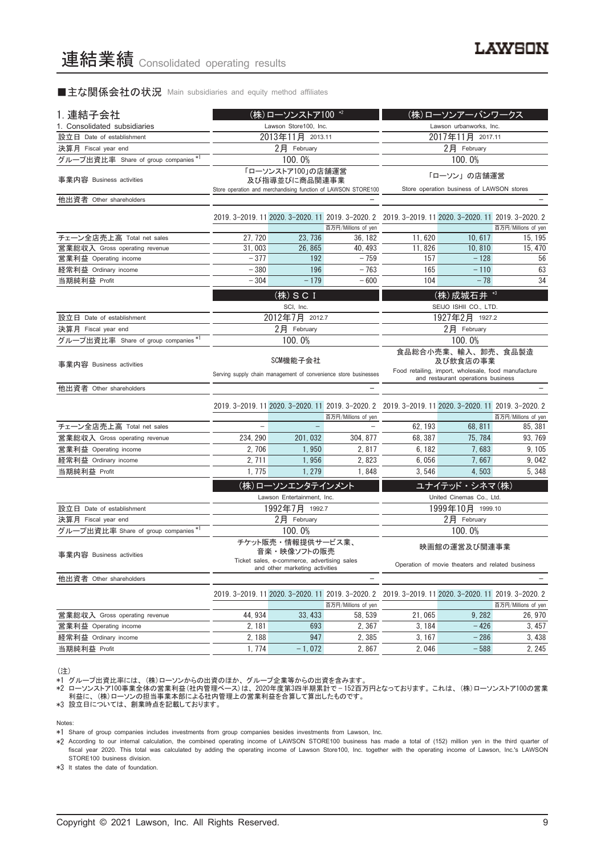## ■主な関係会社の状況 Main subsidiaries and equity method affiliates

| 1. 連結子会社                             |                                                                         | (株)ローソンストア100 *2                   |                                                                 | (株)ローソンアーバンワークス                                                                                     |                                                   |                                |  |  |
|--------------------------------------|-------------------------------------------------------------------------|------------------------------------|-----------------------------------------------------------------|-----------------------------------------------------------------------------------------------------|---------------------------------------------------|--------------------------------|--|--|
| 1. Consolidated subsidiaries         |                                                                         | Lawson Store100, Inc.              |                                                                 | Lawson urbanworks, Inc.                                                                             |                                                   |                                |  |  |
| 設立日 Date of establishment            |                                                                         | 2013年11月 2013.11                   |                                                                 | 2017年11月 2017.11                                                                                    |                                                   |                                |  |  |
| 決算月 Fiscal year end                  |                                                                         | 2月 February                        |                                                                 | 2月 February                                                                                         |                                                   |                                |  |  |
| グループ出資比率 Share of group companies *1 |                                                                         | 100.0%                             |                                                                 | 100.0%                                                                                              |                                                   |                                |  |  |
|                                      |                                                                         |                                    |                                                                 |                                                                                                     |                                                   |                                |  |  |
| 事業内容 Business activities             |                                                                         | 「ローソンストア100」の店舗運営<br>及び指導並びに商品関連事業 |                                                                 | 「ローソン」の店舗運営<br>Store operation business of LAWSON stores                                            |                                                   |                                |  |  |
| 他出資者 Other shareholders              |                                                                         |                                    | Store operation and merchandising function of LAWSON STORE100   |                                                                                                     |                                                   |                                |  |  |
|                                      |                                                                         |                                    |                                                                 |                                                                                                     |                                                   |                                |  |  |
|                                      |                                                                         |                                    |                                                                 | 2019. 3-2019. 11 2020. 3-2020. 11 2019. 3-2020. 2 2019. 3-2019. 11 2020. 3-2020. 11 2019. 3-2020. 2 |                                                   |                                |  |  |
|                                      |                                                                         |                                    | 百万円/Millions of yen                                             |                                                                                                     |                                                   | 百万円/Millions of yen            |  |  |
| チェーン全店売上高 Total net sales            | 27, 720                                                                 | 23, 736                            | 36, 182                                                         | 11,620                                                                                              | 10, 617                                           | 15, 195                        |  |  |
| 営業総収入 Gross operating revenue        | 31,003                                                                  | 26,865                             | 40, 493                                                         | 11.826                                                                                              | 10,810                                            | 15, 470                        |  |  |
| 営業利益 Operating income                | $-377$                                                                  | 192                                | $-759$                                                          | 157                                                                                                 | $-128$                                            | 56<br>63                       |  |  |
| 経常利益 Ordinary income                 | $-380$                                                                  | 196                                | $-763$                                                          | 165                                                                                                 | $-110$                                            |                                |  |  |
| 当期純利益 Profit                         | $-304$                                                                  | $-179$                             | $-600$                                                          | 104                                                                                                 | $-78$                                             | 34                             |  |  |
|                                      |                                                                         | (株) SCI                            |                                                                 |                                                                                                     | (株) 成城石井 *3                                       |                                |  |  |
|                                      |                                                                         | SCI, Inc.                          |                                                                 |                                                                                                     | SEIJO ISHII CO., LTD.                             |                                |  |  |
| 設立日 Date of establishment            |                                                                         | 2012年7月 2012.7                     |                                                                 |                                                                                                     | 1927年2月 1927.2                                    |                                |  |  |
| 決算月 Fiscal year end                  | $2$ 月 February                                                          |                                    |                                                                 | 2月 February                                                                                         |                                                   |                                |  |  |
| グループ出資比率 Share of group companies*1  |                                                                         | 100.0%                             |                                                                 | 100.0%                                                                                              |                                                   |                                |  |  |
|                                      |                                                                         |                                    |                                                                 | 食品総合小売業、輸入、卸売、食品製造                                                                                  |                                                   |                                |  |  |
| 事業内容 Business activities             |                                                                         | SCM機能子会社                           |                                                                 |                                                                                                     | 及び飲食店の事業                                          |                                |  |  |
|                                      |                                                                         |                                    | Serving supply chain management of convenience store businesses | Food retailing, import, wholesale, food manufacture<br>and restaurant operations business           |                                                   |                                |  |  |
| 他出資者 Other shareholders              |                                                                         |                                    |                                                                 |                                                                                                     |                                                   |                                |  |  |
|                                      |                                                                         |                                    |                                                                 |                                                                                                     |                                                   |                                |  |  |
|                                      |                                                                         |                                    |                                                                 | 2019. 3-2019. 11 2020. 3-2020. 11 2019. 3-2020. 2 2019. 3-2019. 11 2020. 3-2020. 11 2019. 3-2020. 2 |                                                   |                                |  |  |
| チェーン全店売上高 Total net sales            |                                                                         |                                    | 百万円/Millions of yen                                             | 62, 193                                                                                             | 68, 811                                           | 百万円/Millions of yen<br>85, 381 |  |  |
| 営業総収入 Gross operating revenue        | 234, 290                                                                | 201, 032                           | 304, 877                                                        | 68, 387                                                                                             | 75, 784                                           | 93, 769                        |  |  |
| 営業利益 Operating income                | 2,706                                                                   | 1.950                              | 2.817                                                           | 6, 182                                                                                              | 7,683                                             | 9, 105                         |  |  |
| 経常利益 Ordinary income                 | 2, 711                                                                  | 1,956                              | 2,823                                                           | 6,056                                                                                               | 7,667                                             | 9,042                          |  |  |
| 当期純利益 Profit                         | 1,775                                                                   | 1, 279                             | 1,848                                                           | 3,546                                                                                               | 4,503                                             | 5,348                          |  |  |
|                                      |                                                                         |                                    |                                                                 |                                                                                                     |                                                   |                                |  |  |
|                                      |                                                                         | (株)ローソンエンタテインメント                   |                                                                 |                                                                                                     | ユナイテッド・シネマ(株)                                     |                                |  |  |
|                                      |                                                                         | Lawson Entertainment, Inc.         |                                                                 |                                                                                                     | United Cinemas Co., Ltd.                          |                                |  |  |
| 設立日 Date of establishment            |                                                                         | 1992年7月 1992.7                     |                                                                 |                                                                                                     | 1999年10月 1999.10                                  |                                |  |  |
| 決算月 Fiscal year end                  |                                                                         | 2月 February                        |                                                                 |                                                                                                     | 2月 February                                       |                                |  |  |
| グループ出資比率 Share of group companies*   |                                                                         | 100.0%                             |                                                                 |                                                                                                     | 100.0%                                            |                                |  |  |
|                                      |                                                                         | チケット販売・情報提供サービス業、                  |                                                                 |                                                                                                     | 映画館の運営及び関連事業                                      |                                |  |  |
| 事業内容 Business activities             |                                                                         | 音楽・映像ソフトの販売                        |                                                                 |                                                                                                     |                                                   |                                |  |  |
|                                      | Ticket sales, e-commerce, advertising<br>and other marketing activities |                                    |                                                                 | Operation of movie theaters and related business                                                    |                                                   |                                |  |  |
| 他出資者 Other shareholders              |                                                                         |                                    |                                                                 |                                                                                                     |                                                   |                                |  |  |
|                                      |                                                                         |                                    | 2019. 3-2019. 11 2020. 3-2020. 11 2019. 3-2020. 2               |                                                                                                     | 2019. 3-2019. 11 2020. 3-2020. 11 2019. 3-2020. 2 |                                |  |  |
|                                      |                                                                         |                                    | 百万円/Millions of yen                                             |                                                                                                     |                                                   | 百万円/Millions of yen            |  |  |
| 営業総収入 Gross operating revenue        | 44, 934                                                                 | 33, 433                            | 58, 539                                                         | 21,065                                                                                              | 9,282                                             | 26, 970                        |  |  |
| 営業利益 Operating income                | 2, 181                                                                  | 693                                | 2,367                                                           | 3, 184                                                                                              | $-426$                                            | 3,457                          |  |  |
| 経常利益 Ordinary income                 | 2,188                                                                   | 947                                | 2,385                                                           | 3, 167                                                                                              | $-286$                                            | 3,438                          |  |  |
| 当期純利益 Profit                         | 1, 774                                                                  | $-1,072$                           | 2,867                                                           | 2,046                                                                                               | $-588$                                            | 2, 245                         |  |  |

(注)

\*1 グループ出資比率には、 (株)ローソンからの出資のほか、 グループ企業等からの出資を含みます。

\*2 ローソンストア100事業全体の営業利益(社内管理ベース)は、 2020年度第3四半期累計で — 152百万円となっております。 これは、 (株)ローソンストア100の営業 利益に、 (株)ローソンの担当事業本部による社内管理上の営業利益を合算して算出したものです。

\*3 設立日については、 創業時点を記載しております。

Notes:

\*1 Share of group companies includes investments from group companies besides investments from Lawson, Inc.

\*2 According to our internal calculation, the combined operating income of LAWSON STORE100 business has made a total of (152) million yen in the third quarter of fiscal year 2020. This total was calculated by adding the operating income of Lawson Store100, Inc. together with the operating income of Lawson, Inc.'s LAWSON STORE100 business division.

\*3 It states the date of foundation.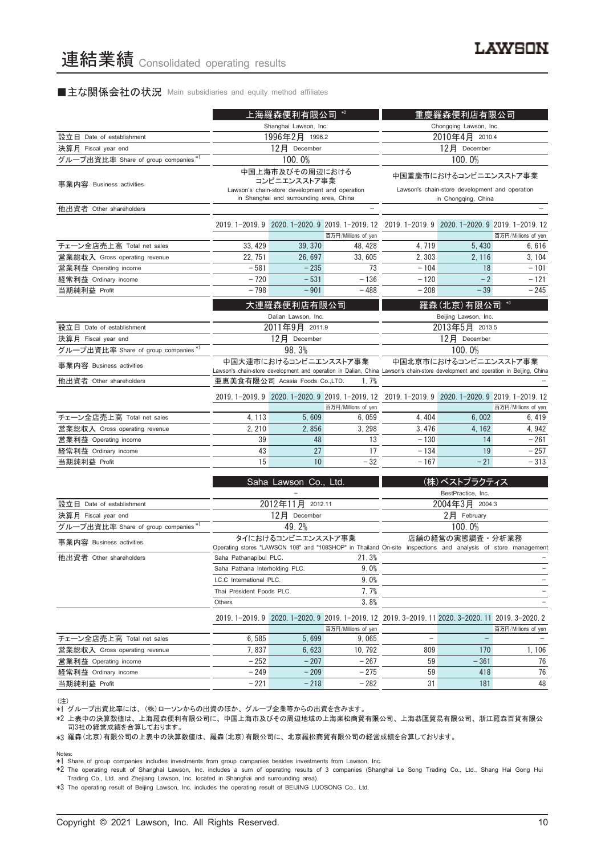### ■主な関係会社の状況 Main subsidiaries and equity method affiliates

|                                                            |                                                                                                                                                           | 上海羅森便利有限公司                                                                                | $*2$                | 重慶羅森便利店有限公司                                                                                                  |                               |                     |  |
|------------------------------------------------------------|-----------------------------------------------------------------------------------------------------------------------------------------------------------|-------------------------------------------------------------------------------------------|---------------------|--------------------------------------------------------------------------------------------------------------|-------------------------------|---------------------|--|
|                                                            | Shanghai Lawson, Inc.                                                                                                                                     |                                                                                           |                     | Chongqing Lawson, Inc.                                                                                       |                               |                     |  |
| 設立日 Date of establishment                                  |                                                                                                                                                           | 1996年2月 1996.2                                                                            |                     | 2010年4月 2010.4                                                                                               |                               |                     |  |
| 決算月 Fiscal year end                                        |                                                                                                                                                           | 12月 December                                                                              |                     | 12月 December                                                                                                 |                               |                     |  |
| グループ出資比率 Share of group companies *'                       |                                                                                                                                                           | 100.0%                                                                                    |                     | 100.0%                                                                                                       |                               |                     |  |
| 事業内容 Business activities                                   |                                                                                                                                                           | 中国上海市及びその周辺における<br>コンビニエンスストア事業                                                           |                     |                                                                                                              | 中国重慶市におけるコンビニエンスストア事業         |                     |  |
|                                                            |                                                                                                                                                           | Lawson's chain-store development and operation<br>in Shanghai and surrounding area, China |                     | Lawson's chain-store development and operation<br>in Chongqing, China                                        |                               |                     |  |
| 他出資者 Other shareholders                                    |                                                                                                                                                           |                                                                                           |                     |                                                                                                              |                               |                     |  |
|                                                            |                                                                                                                                                           |                                                                                           | 百万円/Millions of yen | 2019. 1-2019. 9 2020. 1-2020. 9 2019. 1-2019. 12 2019. 1-2019. 9 2020. 1-2020. 9 2019. 1-2019. 12            |                               | 百万円/Millions of yen |  |
| チェーン全店売上高 Total net sales                                  | 33, 429                                                                                                                                                   | 39, 370                                                                                   | 48, 428             | 4, 719                                                                                                       | 5,430                         | 6,616               |  |
| 営業総収入 Gross operating revenue                              | 22, 751                                                                                                                                                   | 26,697                                                                                    | 33,605              | 2,303                                                                                                        | 2, 116                        | 3, 104              |  |
| 営業利益 Operating income                                      | $-581$                                                                                                                                                    | $-235$                                                                                    | 73                  | $-104$                                                                                                       | 18                            | $-101$              |  |
| 経常利益 Ordinary income                                       | $-720$                                                                                                                                                    | $-531$                                                                                    | $-136$              | $-120$                                                                                                       | $-2$                          | $-121$              |  |
| 当期純利益 Profit                                               | $-798$                                                                                                                                                    | $-901$                                                                                    | $-488$              | $-208$                                                                                                       | $-39$                         | $-245$              |  |
|                                                            |                                                                                                                                                           |                                                                                           |                     |                                                                                                              |                               | $*3$                |  |
|                                                            |                                                                                                                                                           | 大連羅森便利店有限公司                                                                               |                     |                                                                                                              | 羅森(北京)有限公司                    |                     |  |
|                                                            |                                                                                                                                                           | Dalian Lawson, Inc.                                                                       |                     |                                                                                                              | Beijing Lawson, Inc.          |                     |  |
| 設立日 Date of establishment                                  |                                                                                                                                                           | 2011年9月 2011.9                                                                            |                     |                                                                                                              | 2013年5月 2013.5                |                     |  |
| 決算月 Fiscal year end<br>グループ出資比率 Share of group companies*  |                                                                                                                                                           | 12月 December<br>98.3%                                                                     |                     | 12月 December                                                                                                 |                               |                     |  |
|                                                            |                                                                                                                                                           |                                                                                           |                     | 100.0%<br>中国北京市におけるコンビニエンスストア事業                                                                              |                               |                     |  |
| 事業内容 Business activities                                   | 中国大連市におけるコンビニエンスストア事業<br>Lawson's chain-store development and operation in Dalian, China Lawson's chain-store development and operation in Beijing, China |                                                                                           |                     |                                                                                                              |                               |                     |  |
| 他出資者 Other shareholders                                    | 亜恵美食有限公司 Acasia Foods Co.,LTD.<br>1.7%                                                                                                                    |                                                                                           |                     |                                                                                                              |                               |                     |  |
|                                                            | 2019. 1-2019. 9 2020. 1-2020. 9 2019. 1-2019. 12 2019. 1-2019. 9 2020. 1-2020. 9 2019. 1-2019. 12                                                         |                                                                                           |                     |                                                                                                              |                               |                     |  |
|                                                            |                                                                                                                                                           |                                                                                           | 百万円/Millions of yen |                                                                                                              |                               | 百万円/Millions of yen |  |
| チェーン全店売上高 Total net sales                                  | 4, 113                                                                                                                                                    | 5,609                                                                                     | 6,059               | 4, 404                                                                                                       | 6,002                         | 6, 419              |  |
| 営業総収入 Gross operating revenue                              | 2, 210                                                                                                                                                    | 2,856                                                                                     | 3, 298              | 3, 476                                                                                                       | 4, 162                        | 4, 942              |  |
| 営業利益 Operating income                                      | 39                                                                                                                                                        | 48                                                                                        | 13                  | $-130$                                                                                                       | 14                            | $-261$              |  |
| 経常利益 Ordinary income                                       | 43                                                                                                                                                        | 27                                                                                        | 17                  | $-134$                                                                                                       | 19                            | $-257$              |  |
| 当期純利益 Profit                                               | 15                                                                                                                                                        | 10 <sup>1</sup>                                                                           | $-32$               | $-167$                                                                                                       | $-21$                         | $-313$              |  |
|                                                            |                                                                                                                                                           |                                                                                           |                     |                                                                                                              |                               |                     |  |
|                                                            |                                                                                                                                                           | Saha Lawson Co., Ltd.                                                                     |                     |                                                                                                              | (株)ベストプラクティス                  |                     |  |
| 設立日 Date of establishment                                  |                                                                                                                                                           |                                                                                           |                     |                                                                                                              | BestPractice, Inc.            |                     |  |
|                                                            |                                                                                                                                                           | 2012年11月 2012.11<br>12月 December                                                          |                     |                                                                                                              | 2004年3月 2004.3<br>2月 February |                     |  |
| 決算月 Fiscal year end<br>グループ出資比率 Share of group companies*1 |                                                                                                                                                           | 49.2%                                                                                     |                     |                                                                                                              | 100.0%                        |                     |  |
|                                                            |                                                                                                                                                           | タイにおけるコンビニエンスストア事業                                                                        |                     |                                                                                                              | 店舗の経営の実態調査・分析業務               |                     |  |
| 事業内容 Business activities                                   |                                                                                                                                                           |                                                                                           |                     | Operating stores "LAWSON 108" and "108SHOP" in Thailand On-site inspections and analysis of store management |                               |                     |  |
| 他出資者 Other shareholders                                    | Saha Pathanapibul PLC.                                                                                                                                    |                                                                                           | 21.3%               |                                                                                                              |                               |                     |  |
|                                                            | Saha Pathana Interholding PLC.                                                                                                                            |                                                                                           | $9.0\%$             |                                                                                                              |                               |                     |  |
|                                                            | I.C.C International PLC.                                                                                                                                  |                                                                                           | 9.0%                |                                                                                                              |                               |                     |  |
|                                                            | 7.7%<br>Thai President Foods PLC.                                                                                                                         |                                                                                           |                     |                                                                                                              | $\overline{\phantom{0}}$      |                     |  |
|                                                            | Others                                                                                                                                                    |                                                                                           | 3.8%                |                                                                                                              |                               |                     |  |
|                                                            | $2019.1 - 2019.9$                                                                                                                                         |                                                                                           |                     | 2020. 1-2020. 9 2019. 1-2019. 12 2019. 3-2019. 11 2020. 3-2020. 11 2019. 3-2020. 2                           |                               |                     |  |
|                                                            |                                                                                                                                                           |                                                                                           | 百万円/Millions of yen |                                                                                                              |                               | 百万円/Millions of yen |  |
| チェーン全店売上高 Total net sales                                  | 6, 585                                                                                                                                                    | 5,699                                                                                     | 9,065               | $\qquad \qquad -$                                                                                            | -                             |                     |  |
| 営業総収入 Gross operating revenue                              | 7,837                                                                                                                                                     | 6,623                                                                                     | 10, 792             | 809                                                                                                          | 170                           | 1,106               |  |
| 営業利益 Operating income                                      | $-252$                                                                                                                                                    | $-207$                                                                                    | $-267$              | 59                                                                                                           | $-361$                        | 76                  |  |
| 経常利益 Ordinary income                                       | $-249$                                                                                                                                                    | $-209$                                                                                    | $-275$              | 59                                                                                                           | 418                           | 76                  |  |
| 当期純利益 Profit                                               | $-221$                                                                                                                                                    | $-218$                                                                                    | $-282$              | 31                                                                                                           | 181                           | 48                  |  |

<sup>(</sup>注)

。<br>\*1 グループ出資比率には、 (株)ローソンからの出資のほか、グループ企業等からの出資を含みます。

\*2 上表中の決算数値は、 上海羅森便利有限公司に、 中国上海市及びその周辺地域の上海楽松商貿有限公司、 上海恭匯貿易有限公司、 浙江羅森百貨有限公 司3社の経営成績を合算しております。

\*3 羅森(北京)有限公司の上表中の決算数値は、 羅森(北京)有限公司に、 北京羅松商貿有限公司の経営成績を合算しております。

Notes:

\*2 The operating result of Shanghai Lawson, Inc. includes a sum of operating results of 3 companies (Shanghai Le Song Trading Co., Ltd., Shang Hai Gong Hui Trading Co., Ltd. and Zhejiang Lawson, Inc. located in Shanghai and surrounding area).

\*3 The operating result of Beijing Lawson, Inc. includes the operating result of BEIJING LUOSONG Co., Ltd.

<sup>\*1</sup> Share of group companies includes investments from group companies besides investments from Lawson, Inc.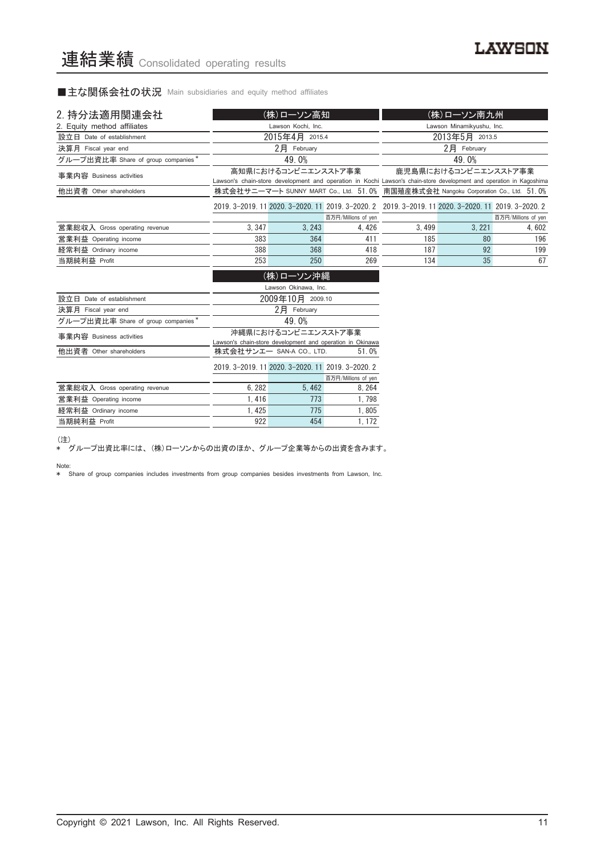■主な関係会社の状況 Main subsidiaries and equity method affiliates

| 2. 持分法適用関連会社                       |       | (株)ローソン高知           |                                                                                                     | (株)ローソン南九州                                                                                                                                  |                           |                     |
|------------------------------------|-------|---------------------|-----------------------------------------------------------------------------------------------------|---------------------------------------------------------------------------------------------------------------------------------------------|---------------------------|---------------------|
| 2. Equity method affiliates        |       | Lawson Kochi, Inc.  |                                                                                                     |                                                                                                                                             | Lawson Minamikyushu, Inc. |                     |
| 設立日 Date of establishment          |       | 2015年4月 2015.4      |                                                                                                     |                                                                                                                                             | 2013年5月 2013.5            |                     |
| 決算月 Fiscal year end                |       | $2$ $H$ February    |                                                                                                     |                                                                                                                                             | $2$ 月 February            |                     |
| グループ出資比率 Share of group companies* |       | 49.0%               |                                                                                                     | 49.0%                                                                                                                                       |                           |                     |
| 事業内容 Business activities           |       | 高知県におけるコンビニエンスストア事業 |                                                                                                     | 鹿児島県におけるコンビニエンスストア事業<br>Lawson's chain-store development and operation in Kochi Lawson's chain-store development and operation in Kagoshima |                           |                     |
| 他出資者 Other shareholders            |       |                     |                                                                                                     | 株式会社サニーマート SUNNY MART Co., Ltd. 51.0% 南国殖産株式会社 Nangoku Corporation Co., Ltd. 51.0%                                                          |                           |                     |
|                                    |       |                     | 2019. 3-2019. 11 2020. 3-2020. 11 2019. 3-2020. 2 2019. 3-2019. 11 2020. 3-2020. 11 2019. 3-2020. 2 |                                                                                                                                             |                           |                     |
|                                    |       |                     | 百万円/Millions of yen                                                                                 |                                                                                                                                             |                           | 百万円/Millions of yen |
| 営業総収入 Gross operating revenue      | 3.347 | 3.243               | 4.426                                                                                               | 3.499                                                                                                                                       | 3.221                     | 4.602               |
| 営業利益 Operating income              | 383   | 364                 | 411                                                                                                 | 185                                                                                                                                         | 80                        | 196                 |
| 経常利益 Ordinary income               | 388   | 368                 | 418                                                                                                 | 187                                                                                                                                         | 92                        | 199                 |
| 当期純利益 Profit                       | 253   | 250                 | 269                                                                                                 | 134                                                                                                                                         | 35                        | 67                  |

|                                    | (株)ローソン沖縄                                                                        |                                                   |                     |  |  |
|------------------------------------|----------------------------------------------------------------------------------|---------------------------------------------------|---------------------|--|--|
|                                    | Lawson Okinawa, Inc.                                                             |                                                   |                     |  |  |
| 設立日<br>Date of establishment       | 2009年10月 2009.10                                                                 |                                                   |                     |  |  |
| 決算月 Fiscal year end                |                                                                                  | 2月<br>February                                    |                     |  |  |
| グループ出資比率 Share of group companies* | 49.0%                                                                            |                                                   |                     |  |  |
| 事業内容 Business activities           | 沖縄県におけるコンビニエンスストア事業<br>Lawson's chain-store development and operation in Okinawa |                                                   |                     |  |  |
| 他出資者 Other shareholders            | 株式会社サンエー SAN-A CO., LTD.<br>51.0%                                                |                                                   |                     |  |  |
|                                    |                                                                                  | 2019. 3-2019. 11 2020. 3-2020. 11 2019. 3-2020. 2 |                     |  |  |
|                                    |                                                                                  |                                                   | 百万円/Millions of yen |  |  |
| 営業総収入 Gross operating revenue      | 6.282                                                                            | 5.462                                             | 8.264               |  |  |
| 営業利益 Operating income              | 1.416                                                                            | 773                                               | 1.798               |  |  |
| 経常利益 Ordinary income               | 1.425                                                                            | 775                                               | 1.805               |  |  |
| 当期純利益 Profit                       | 922                                                                              | 454                                               | 1.172               |  |  |

(注)

\* グループ出資比率には、 (株)ローソンからの出資のほか、 グループ企業等からの出資を含みます。

Note: \* Share of group companies includes investments from group companies besides investments from Lawson, Inc.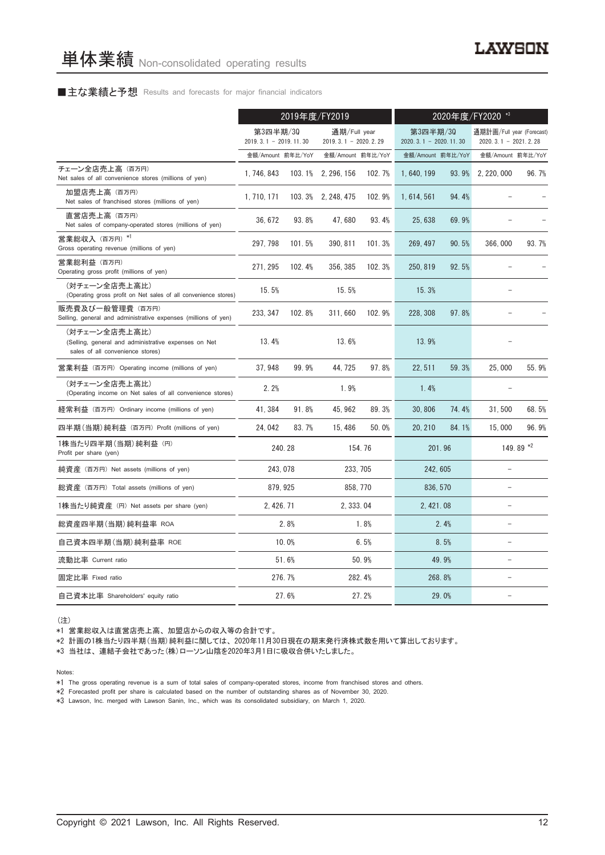# ■主な業績と予想 Results and forecasts for major financial indicators

|                                                                                                           | 2019年度/FY2019                       |        |                                          |        | 2020年度/FY2020 *3                    |       |                                                     |                   |
|-----------------------------------------------------------------------------------------------------------|-------------------------------------|--------|------------------------------------------|--------|-------------------------------------|-------|-----------------------------------------------------|-------------------|
|                                                                                                           | 第3四半期/30<br>$2019.3.1 - 2019.11.30$ |        | 通期/Full year<br>2019. 3. 1 - 2020. 2. 29 |        | 第3四半期/30<br>$2020.3.1 - 2020.11.30$ |       | 通期計画/Full year (Forecast)<br>$2020.3.1 - 2021.2.28$ |                   |
|                                                                                                           | 金額/Amount 前年比/YoY                   |        | 金額/Amount 前年比/YoY                        |        | 金額/Amount 前年比/YoY                   |       |                                                     | 金額/Amount 前年比/YoY |
| チェーン全店売上高 (百万円)<br>Net sales of all convenience stores (millions of yen)                                  | 1, 746, 843                         |        | 103.1% 2, 296, 156                       | 102.7% | 1,640,199                           | 93.9% | 2, 220, 000                                         | 96.7%             |
| 加盟店売上高(百万円)<br>Net sales of franchised stores (millions of yen)                                           | 1, 710, 171                         |        | 103.3% 2, 248, 475                       | 102.9% | 1, 614, 561                         | 94.4% |                                                     |                   |
| 直営店売上高(百万円)<br>Net sales of company-operated stores (millions of yen)                                     | 36, 672                             | 93.8%  | 47,680                                   | 93.4%  | 25, 638                             | 69.9% |                                                     |                   |
| 営業総収入 (百万円) *1<br>Gross operating revenue (millions of yen)                                               | 297, 798                            | 101.5% | 390, 811                                 | 101.3% | 269, 497                            | 90.5% | 366,000                                             | 93.7%             |
| 営業総利益 (百万円)<br>Operating gross profit (millions of yen)                                                   | 271, 295                            | 102.4% | 356, 385                                 | 102.3% | 250, 819                            | 92.5% |                                                     |                   |
| (対チェーン全店売上高比)<br>(Operating gross profit on Net sales of all convenience stores)                          | 15.5%                               |        | 15.5%                                    |        | 15.3%                               |       |                                                     |                   |
| 販売費及び一般管理費 (百万円)<br>Selling, general and administrative expenses (millions of yen)                        | 233, 347                            | 102.8% | 311,660                                  | 102.9% | 228, 308                            | 97.8% |                                                     |                   |
| (対チェーン全店売上高比)<br>(Selling, general and administrative expenses on Net<br>sales of all convenience stores) | 13.4%                               |        | 13.6%                                    |        | 13.9%                               |       |                                                     |                   |
| 営業利益 (百万円) Operating income (millions of yen)                                                             | 37.948                              | 99.9%  | 44.725                                   | 97.8%  | 22.511                              | 59.3% | 25.000                                              | 55.9%             |
| (対チェーン全店売上高比)<br>(Operating income on Net sales of all convenience stores)                                | 2.2%                                |        | 1.9%                                     |        | 1.4%                                |       |                                                     |                   |
| 経常利益(百万円)Ordinary income (millions of yen)                                                                | 41,384                              | 91.8%  | 45, 962                                  | 89.3%  | 30,806                              | 74.4% | 31,500                                              | 68.5%             |
| 四半期(当期)純利益 (百万円) Profit (millions of yen)                                                                 | 24, 042                             | 83.7%  | 15, 486                                  | 50.0%  | 20, 210                             | 84.1% | 15,000                                              | 96.9%             |
| 1株当たり四半期 (当期) 純利益 (円)<br>Profit per share (yen)                                                           |                                     | 240.28 |                                          | 154.76 | 201.96                              |       |                                                     | 149.89 *2         |
| 純資産 (百万円) Net assets (millions of yen)                                                                    | 243.078                             |        | 233, 705                                 |        | 242, 605                            |       |                                                     |                   |
| 総資産 (百万円) Total assets (millions of yen)                                                                  | 879, 925                            |        | 858, 770                                 |        | 836, 570                            |       | $\equiv$                                            |                   |
| 1株当たり純資産 (円) Net assets per share (yen)                                                                   | 2, 426. 71                          |        | 2, 333, 04                               |        | 2, 421, 08                          |       | $\equiv$                                            |                   |
| 総資産四半期(当期)純利益率 ROA                                                                                        |                                     | 2.8%   |                                          | 1.8%   |                                     | 2.4%  |                                                     |                   |
| 自己資本四半期(当期) 純利益率 ROE                                                                                      |                                     | 10.0%  |                                          | 6.5%   |                                     | 8.5%  | $\equiv$                                            |                   |
| 流動比率 Current ratio                                                                                        |                                     | 51.6%  |                                          | 50.9%  |                                     | 49.9% | $\equiv$                                            |                   |
| 固定比率 Fixed ratio                                                                                          |                                     | 276.7% |                                          | 282.4% | 268.8%                              |       |                                                     |                   |
| 自己資本比率 Shareholders' equity ratio                                                                         |                                     | 27.6%  |                                          | 27.2%  |                                     | 29.0% |                                                     |                   |

(注)

\*1 営業総収入は直営店売上高、 加盟店からの収入等の合計です。

\*2 計画の1株当たり四半期(当期)純利益に関しては、 2020年11月30日現在の期末発行済株式数を用いて算出しております。

\*3 当社は、 連結子会社であった(株)ローソン山陰を2020年3月1日に吸収合併いたしました。

Notes:

\*1 The gross operating revenue is a sum of total sales of company-operated stores, income from franchised stores and others.

\*2 Forecasted profit per share is calculated based on the number of outstanding shares as of November 30, 2020.

\*3 Lawson, Inc. merged with Lawson Sanin, Inc., which was its consolidated subsidiary, on March 1, 2020.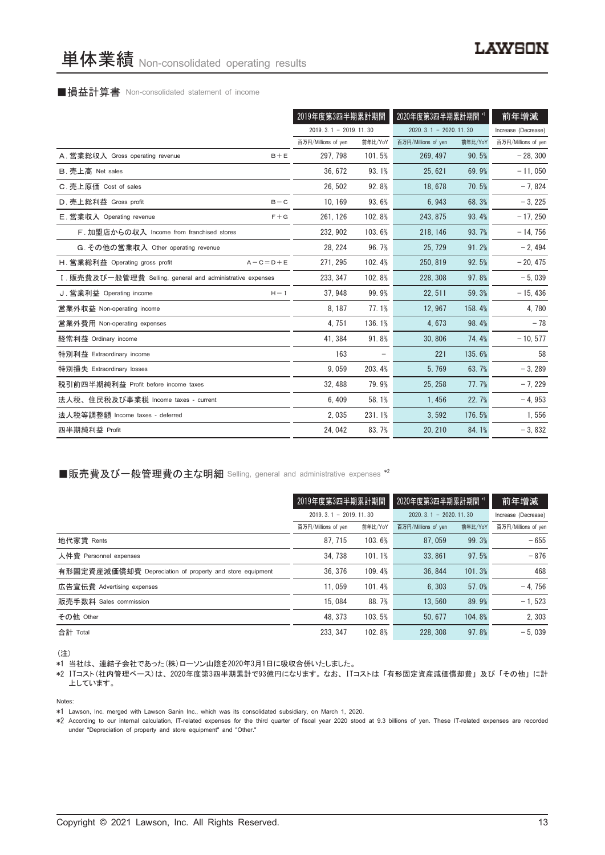# ■損益計算書 Non-consolidated statement of income

|                                                            | 2019年度第3四半期累計期間         |         | 2020年度第3四半期累計期間             | 前年増減    |                     |
|------------------------------------------------------------|-------------------------|---------|-----------------------------|---------|---------------------|
|                                                            | $2019.3.1 - 2019.11.30$ |         | $2020, 3, 1 - 2020, 11, 30$ |         | Increase (Decrease) |
|                                                            | 百万円/Millions of yen     | 前年比/YoY | 百万円/Millions of yen         | 前年比/YoY | 百万円/Millions of yen |
| A. 営業総収入 Gross operating revenue<br>$B + E$                | 297, 798                | 101.5%  | 269, 497                    | 90.5%   | $-28, 300$          |
| B. 売上高 Net sales                                           | 36, 672                 | 93.1%   | 25, 621                     | 69.9%   | $-11,050$           |
| C. 売上原価 Cost of sales                                      | 26.502                  | 92.8%   | 18.678                      | 70.5%   | $-7,824$            |
| D. 売上総利益 Gross profit<br>$B - C$                           | 10, 169                 | 93.6%   | 6,943                       | 68.3%   | $-3, 225$           |
| E. 営業収入 Operating revenue<br>$F + G$                       | 261, 126                | 102.8%  | 243.875                     | 93.4%   | $-17,250$           |
| F. 加盟店からの収入 Income from franchised stores                  | 232, 902                | 103.6%  | 218, 146                    | 93.7%   | $-14,756$           |
| G. その他の営業収入 Other operating revenue                        | 28, 224                 | 96.7%   | 25.729                      | 91.2%   | $-2,494$            |
| H. 営業総利益 Operating gross profit<br>$A - C = D + E$         | 271, 295                | 102.4%  | 250, 819                    | 92.5%   | $-20, 475$          |
| I. 販売費及び一般管理費 Selling, general and administrative expenses | 233, 347                | 102.8%  | 228, 308                    | 97.8%   | $-5,039$            |
| J. 営業利益 Operating income<br>$H - I$                        | 37.948                  | 99.9%   | 22, 511                     | 59.3%   | $-15,436$           |
| 営業外収益 Non-operating income                                 | 8, 187                  | 77.1%   | 12,967                      | 158.4%  | 4,780               |
| 営業外費用 Non-operating expenses                               | 4,751                   | 136.1%  | 4,673                       | 98.4%   | $-78$               |
| 経常利益 Ordinary income                                       | 41, 384                 | 91.8%   | 30.806                      | 74.4%   | $-10, 577$          |
| 特別利益 Extraordinary income                                  | 163                     |         | 221                         | 135.6%  | 58                  |
| 特別損失 Extraordinary losses                                  | 9,059                   | 203.4%  | 5,769                       | 63.7%   | $-3,289$            |
| 税引前四半期純利益 Profit before income taxes                       | 32.488                  | 79.9%   | 25.258                      | 77.7%   | $-7,229$            |
| 法人税、住民税及び事業税 Income taxes - current                        | 6,409                   | 58.1%   | 1,456                       | 22.7%   | $-4,953$            |
| 法人税等調整額 Income taxes - deferred                            | 2,035                   | 231.1%  | 3,592                       | 176.5%  | 1,556               |
| 四半期純利益 Profit                                              | 24,042                  | 83.7%   | 20, 210                     | 84.1%   | $-3,832$            |

# ■販売費及び一般管理費の主な明細 Selling, general and administrative expenses \*2

|                                                          | 2019年度第3四半期累計期間         |         | 2020年度第3四半期累計期間 *'      |         | 前年増減                |
|----------------------------------------------------------|-------------------------|---------|-------------------------|---------|---------------------|
|                                                          | $2019.3.1 - 2019.11.30$ |         | $2020.3.1 - 2020.11.30$ |         | Increase (Decrease) |
|                                                          | 百万円/Millions of yen     | 前年比/YoY | 百万円/Millions of yen     | 前年比/YoY | 百万円/Millions of yen |
| 地代家賃 Rents                                               | 87.715                  | 103.6%  | 87.059                  | 99.3%   | $-655$              |
| 人件費 Personnel expenses                                   | 34.738                  | 101.1%  | 33, 861                 | 97.5%   | $-876$              |
| 有形固定資産減価償却費 Depreciation of property and store equipment | 36.376                  | 109.4%  | 36, 844                 | 101.3%  | 468                 |
| 広告宣伝費 Advertising expenses                               | 11.059                  | 101.4%  | 6.303                   | 57.0%   | $-4.756$            |
| 販売手数料 Sales commission                                   | 15.084                  | 88.7%   | 13.560                  | 89.9%   | $-1, 523$           |
| その他 Other                                                | 48.373                  | 103.5%  | 50.677                  | 104.8%  | 2.303               |
| 合計 Total                                                 | 233.347                 | 102.8%  | 228, 308                | 97.8%   | $-5.039$            |

(注)

\*1 当社は、 連結子会社であった(株)ローソン山陰を2020年3月1日に吸収合併いたしました。

\*2 ITコスト(社内管理ベース)は、 2020年度第3四半期累計で93億円になります。 なお、 ITコストは 「有形固定資産減価償却費」 及び 「その他」 に計 上しています。

Notes:

\*1 Lawson, Inc. merged with Lawson Sanin Inc., which was its consolidated subsidiary, on March 1, 2020.

\*2 According to our internal calculation, IT-related expenses for the third quarter of fiscal year 2020 stood at 9.3 billions of yen. These IT-related expenses are recorded under "Depreciation of property and store equipment" and "Other."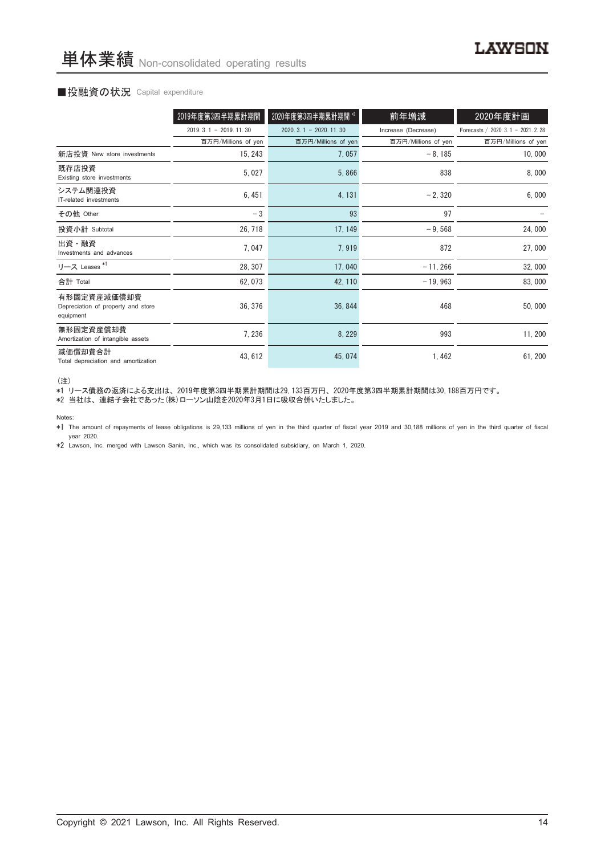## ■投融資の状況 Capital expenditure

|                                                                | 2019年度第3四半期累計期間         | 2020年度第3四半期累計期間 *2      | 前年増減                | 2020年度計画                           |
|----------------------------------------------------------------|-------------------------|-------------------------|---------------------|------------------------------------|
|                                                                | $2019.3.1 - 2019.11.30$ | $2020.3.1 - 2020.11.30$ | Increase (Decrease) | Forecasts / 2020. 3.1 - 2021. 2.28 |
|                                                                | 百万円/Millions of yen     | 百万円/Millions of yen     | 百万円/Millions of yen | 百万円/Millions of yen                |
| 新店投資 New store investments                                     | 15, 243                 | 7,057                   | $-8,185$            | 10,000                             |
| 既存店投資<br>Existing store investments                            | 5,027                   | 5,866                   | 838                 | 8,000                              |
| システム関連投資<br>IT-related investments                             | 6,451                   | 4, 131                  | $-2,320$            | 6,000                              |
| その他 Other                                                      | $-3$                    | 93                      | 97                  |                                    |
| 投資小計 Subtotal                                                  | 26, 718                 | 17, 149                 | $-9,568$            | 24,000                             |
| 出資・融資<br>Investments and advances                              | 7,047                   | 7,919                   | 872                 | 27,000                             |
| リース Leases <sup>*1</sup>                                       | 28, 307                 | 17,040                  | $-11,266$           | 32,000                             |
| 合計 Total                                                       | 62, 073                 | 42, 110                 | $-19,963$           | 83,000                             |
| 有形固定資産減価償却費<br>Depreciation of property and store<br>equipment | 36, 376                 | 36, 844                 | 468                 | 50,000                             |
| 無形固定資産償却費<br>Amortization of intangible assets                 | 7, 236                  | 8, 229                  | 993                 | 11, 200                            |
| 減価償却費合計<br>Total depreciation and amortization                 | 43, 612                 | 45, 074                 | 1,462               | 61, 200                            |

(注)

\*1 リース債務の返済による支出は、 2019年度第3四半期累計期間は29,133百万円、 2020年度第3四半期累計期間は30,188百万円です。

\*2 当社は、 連結子会社であった(株)ローソン山陰を2020年3月1日に吸収合併いたしました。

Notes:

\*1 The amount of repayments of lease obligations is 29,133 millions of yen in the third quarter of fiscal year 2019 and 30,188 millions of yen in the third quarter of fiscal year 2020.

\*2 Lawson, Inc. merged with Lawson Sanin, Inc., which was its consolidated subsidiary, on March 1, 2020.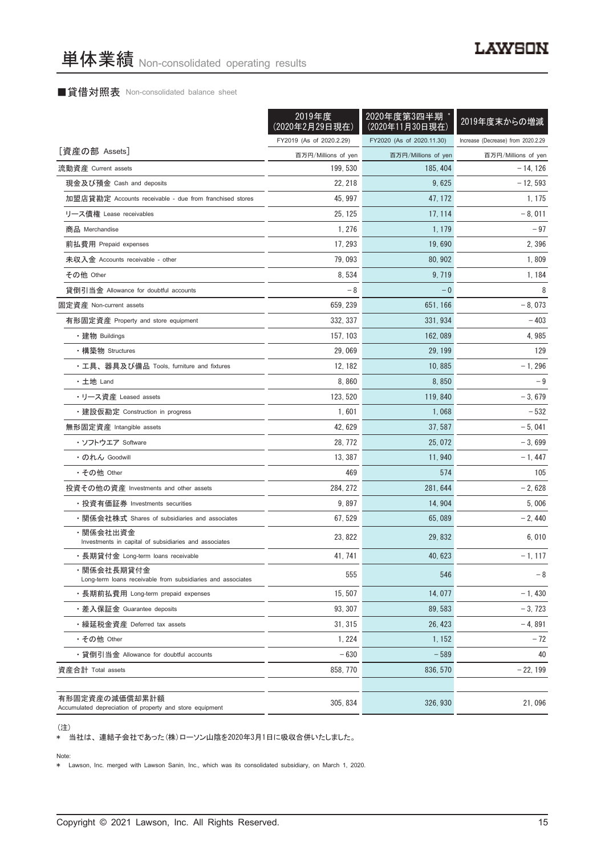# ■貸借対照表 Non-consolidated balance sheet

|                                                                            | 2019年度<br>(2020年2月29日現在) | 2020年度第3四半期<br>(2020年11月30日現在) | 2019年度末からの増減                       |
|----------------------------------------------------------------------------|--------------------------|--------------------------------|------------------------------------|
|                                                                            | FY2019 (As of 2020.2.29) | FY2020 (As of 2020.11.30)      | Increase (Decrease) from 2020.2.29 |
| [資産の部 Assets]                                                              | 百万円/Millions of yen      | 百万円/Millions of yen            | 百万円/Millions of yen                |
| 流動資産 Current assets                                                        | 199, 530                 | 185, 404                       | $-14, 126$                         |
| 現金及び預金 Cash and deposits                                                   | 22, 218                  | 9,625                          | $-12,593$                          |
| 加盟店貸勘定 Accounts receivable - due from franchised stores                    | 45, 997                  | 47, 172                        | 1, 175                             |
| リース債権 Lease receivables                                                    | 25, 125                  | 17, 114                        | $-8,011$                           |
| 商品 Merchandise                                                             | 1, 276                   | 1, 179                         | $-97$                              |
| 前払費用 Prepaid expenses                                                      | 17, 293                  | 19.690                         | 2,396                              |
| 未収入金 Accounts receivable - other                                           | 79,093                   | 80, 902                        | 1,809                              |
| その他 Other                                                                  | 8,534                    | 9, 719                         | 1, 184                             |
| 貸倒引当金 Allowance for doubtful accounts                                      | - 8                      | $-0$                           | 8                                  |
| 固定資産 Non-current assets                                                    | 659, 239                 | 651, 166                       | $-8,073$                           |
| 有形固定資産 Property and store equipment                                        | 332, 337                 | 331, 934                       | - 403                              |
| ・建物 Buildings                                                              | 157, 103                 | 162, 089                       | 4,985                              |
| ・構築物 Structures                                                            | 29,069                   | 29, 199                        | 129                                |
| ・工具、器具及び備品 Tools, furniture and fixtures                                   | 12, 182                  | 10,885                         | $-1, 296$                          |
| ・土地 Land                                                                   | 8,860                    | 8,850                          | $-9$                               |
| ・リース資産 Leased assets                                                       | 123, 520                 | 119, 840                       | $-3,679$                           |
| ・建設仮勘定 Construction in progress                                            | 1,601                    | 1,068                          | $-532$                             |
| 無形固定資産 Intangible assets                                                   | 42, 629                  | 37, 587                        | $-5,041$                           |
| ・ソフトウエア Software                                                           | 28, 772                  | 25, 072                        | $-3,699$                           |
| ・のれん Goodwill                                                              | 13, 387                  | 11, 940                        | $-1,447$                           |
| ・その他 Other                                                                 | 469                      | 574                            | 105                                |
| 投資その他の資産 Investments and other assets                                      | 284, 272                 | 281, 644                       | $-2,628$                           |
| ・投資有価証券 Investments securities                                             | 9,897                    | 14, 904                        | 5,006                              |
| ・関係会社株式 Shares of subsidiaries and associates                              | 67, 529                  | 65,089                         | $-2,440$                           |
| ・関係会社出資金<br>Investments in capital of subsidiaries and associates          | 23, 822                  | 29, 832                        | 6,010                              |
| ・長期貸付金 Long-term loans receivable                                          | 41, 741                  | 40, 623                        | $-1, 117$                          |
| ・関係会社長期貸付金<br>Long-term loans receivable from subsidiaries and associates  | 555                      | 546                            | $-8$                               |
| ・長期前払費用 Long-term prepaid expenses                                         | 15, 507                  | 14.077                         | $-1,430$                           |
| ・差入保証金 Guarantee deposits                                                  | 93, 307                  | 89, 583                        | $-3, 723$                          |
| · 繰延税金資産 Deferred tax assets                                               | 31, 315                  | 26, 423                        | $-4,891$                           |
| ・その他 Other                                                                 | 1, 224                   | 1, 152                         | $-72$                              |
| ・貸倒引当金 Allowance for doubtful accounts                                     | $-630$                   | $-589$                         | 40                                 |
| 資産合計 Total assets                                                          | 858, 770                 | 836, 570                       | $-22, 199$                         |
| 有形固定資産の減価償却累計額<br>Accumulated depreciation of property and store equipment | 305, 834                 | 326, 930                       | 21,096                             |

(注)

\* 当社は、 連結子会社であった(株)ローソン山陰を2020年3月1日に吸収合併いたしました。

Note:

\* Lawson, Inc. merged with Lawson Sanin, Inc., which was its consolidated subsidiary, on March 1, 2020.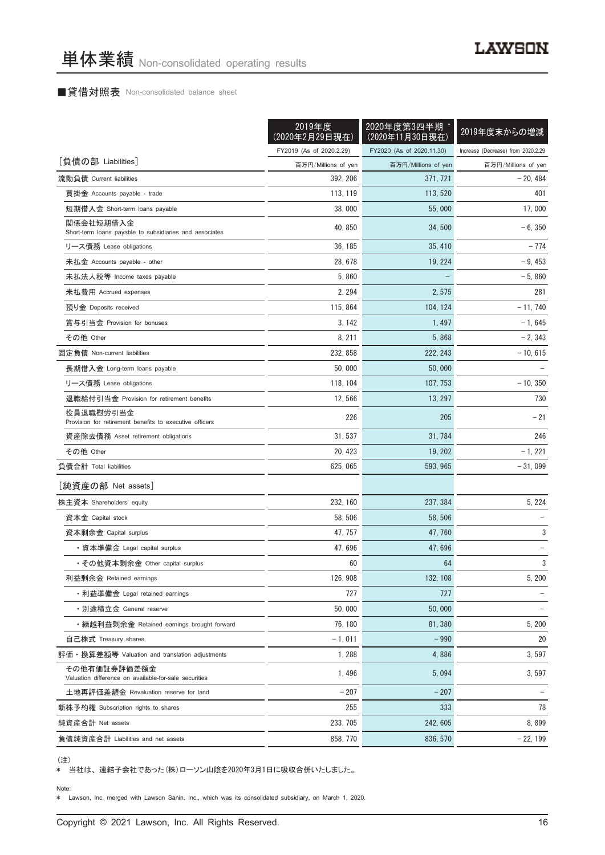# ■貸借対照表 Non-consolidated balance sheet

|                                                                       | 2019年度<br><u>(2020年2月29日現在)</u> | 2020年度第3四半期<br>(2020年11月30日現在) | 2019年度末からの増減                       |  |
|-----------------------------------------------------------------------|---------------------------------|--------------------------------|------------------------------------|--|
|                                                                       | FY2019 (As of 2020.2.29)        | FY2020 (As of 2020.11.30)      | Increase (Decrease) from 2020.2.29 |  |
| [負債の部 Liabilities]                                                    | 百万円/Millions of yen             | 百万円/Millions of yen            | 百万円/Millions of yen                |  |
| 流動負債 Current liabilities                                              | 392, 206                        | 371, 721                       | $-20,484$                          |  |
| 買掛金 Accounts payable - trade                                          | 113, 119                        | 113, 520                       | 401                                |  |
| 短期借入金 Short-term loans payable                                        | 38,000                          | 55,000                         | 17,000                             |  |
| 関係会社短期借入金<br>Short-term loans payable to subsidiaries and associates  | 40, 850                         | 34, 500                        | $-6, 350$                          |  |
| リース債務 Lease obligations                                               | 36, 185                         | 35, 410                        | $-774$                             |  |
| 未払金 Accounts payable - other                                          | 28, 678                         | 19, 224                        | $-9,453$                           |  |
| 未払法人税等 Income taxes payable                                           | 5,860                           |                                | $-5,860$                           |  |
| 未払費用 Accrued expenses                                                 | 2, 294                          | 2,575                          | 281                                |  |
| 預り金 Deposits received                                                 | 115, 864                        | 104, 124                       | $-11,740$                          |  |
| 賞与引当金 Provision for bonuses                                           | 3.142                           | 1, 497                         | $-1,645$                           |  |
| その他 Other                                                             | 8, 211                          | 5,868                          | $-2, 343$                          |  |
| 固定負債 Non-current liabilities                                          | 232, 858                        | 222, 243                       | $-10, 615$                         |  |
| 長期借入金 Long-term loans payable                                         | 50,000                          | 50,000                         |                                    |  |
| リース債務 Lease obligations                                               | 118, 104                        | 107, 753                       | $-10, 350$                         |  |
| 退職給付引当金 Provision for retirement benefits                             | 12,566                          | 13, 297                        | 730                                |  |
| 役員退職慰労引当金<br>Provision for retirement benefits to executive officers  | 226                             | 205                            | $-21$                              |  |
| 資産除去債務 Asset retirement obligations                                   | 31, 537                         | 31, 784                        | 246                                |  |
| その他 Other                                                             | 20, 423                         | 19, 202                        | $-1, 221$                          |  |
| 負債合計 Total liabilities                                                | 625, 065                        | 593, 965                       | $-31,099$                          |  |
| [純資産の部 Net assets]                                                    |                                 |                                |                                    |  |
| 株主資本 Shareholders' equity                                             | 232, 160                        | 237, 384                       | 5, 224                             |  |
| 資本金 Capital stock                                                     | 58, 506                         | 58, 506                        |                                    |  |
| 資本剰余金 Capital surplus                                                 | 47, 757                         | 47, 760                        | 3                                  |  |
| ・資本準備金 Legal capital surplus                                          | 47,696                          | 47,696                         |                                    |  |
| ・その他資本剰余金 Other capital surplus                                       | 60                              | 64                             | 3                                  |  |
| 利益剰余金 Retained earnings                                               | 126, 908                        | 132, 108                       | 5, 200                             |  |
| ・利益準備金 Legal retained earnings                                        | 727                             | 727                            |                                    |  |
| • 別途積立金 General reserve                                               | 50,000                          | 50,000                         |                                    |  |
| ・繰越利益剰余金 Retained earnings brought forward                            | 76, 180                         | 81,380                         | 5, 200                             |  |
| 自己株式 Treasury shares                                                  | $-1,011$                        | $-990$                         | 20                                 |  |
| 評価・換算差額等 Valuation and translation adjustments                        | 1,288                           | 4,886                          | 3,597                              |  |
| その他有価証券評価差額金<br>Valuation difference on available-for-sale securities | 1,496                           | 5,094                          | 3,597                              |  |
| 土地再評価差額金 Revaluation reserve for land                                 | $-207$                          | $-207$                         |                                    |  |
| 新株予約権 Subscription rights to shares                                   | 255                             | 333                            | 78                                 |  |
| 純資産合計 Net assets                                                      | 233, 705                        | 242, 605                       | 8,899                              |  |
| 負債純資産合計 Liabilities and net assets                                    | 858, 770                        | 836, 570                       | $-22, 199$                         |  |

<sup>(</sup>注)

\* 当社は、 連結子会社であった(株)ローソン山陰を2020年3月1日に吸収合併いたしました。

Note:

\* Lawson, Inc. merged with Lawson Sanin, Inc., which was its consolidated subsidiary, on March 1, 2020.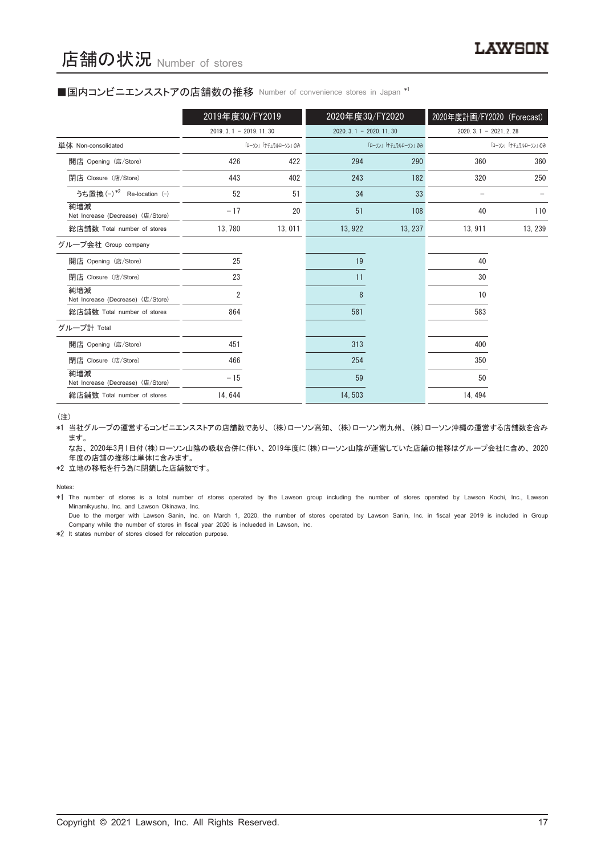## ■国内コンビニエンスストアの店舗数の推移 Number of convenience stores in Japan \*1

|                                          | 2019年度30/FY2019         |                     | 2020年度30/FY2020             |                     | 2020年度計画/FY2020 (Forecast) |                     |
|------------------------------------------|-------------------------|---------------------|-----------------------------|---------------------|----------------------------|---------------------|
|                                          | $2019.3.1 - 2019.11.30$ |                     | $2020, 3, 1 - 2020, 11, 30$ |                     | $2020.3.1 - 2021.2.28$     |                     |
| 単体 Non-consolidated                      |                         | 「ローソン」「ナチュラルローソン」のみ |                             | 「ローソン」「ナチュラルローソン」のみ |                            | 「ローソン」「ナチュラルローソン」のみ |
| 開店 Opening (店/Store)                     | 426                     | 422                 | 294                         | 290                 | 360                        | 360                 |
| 閉店 Closure (店/Store)                     | 443                     | 402                 | 243                         | 182                 | 320                        | 250                 |
| うち置換 (-) *2 Re-location (-)              | 52                      | 51                  | 34                          | 33                  |                            |                     |
| 純増減<br>Net Increase (Decrease) (店/Store) | $-17$                   | 20                  | 51                          | 108                 | 40                         | 110                 |
| 総店舗数 Total number of stores              | 13, 780                 | 13,011              | 13, 922                     | 13, 237             | 13, 911                    | 13, 239             |
| グループ会社 Group company                     |                         |                     |                             |                     |                            |                     |
| 開店 Opening (店/Store)                     | 25                      |                     | 19                          |                     | 40                         |                     |
| 閉店 Closure (店/Store)                     | 23                      |                     | 11                          |                     | 30                         |                     |
| 純増減<br>Net Increase (Decrease) (店/Store) | 2                       |                     | 8                           |                     | 10                         |                     |
| 総店舗数 Total number of stores              | 864                     |                     | 581                         |                     | 583                        |                     |
| グループ計 Total                              |                         |                     |                             |                     |                            |                     |
| 開店 Opening (店/Store)                     | 451                     |                     | 313                         |                     | 400                        |                     |
| 閉店 Closure (店/Store)                     | 466                     |                     | 254                         |                     | 350                        |                     |
| 純増減<br>Net Increase (Decrease) (店/Store) | $-15$                   |                     | 59                          |                     | 50                         |                     |
| 総店舗数 Total number of stores              | 14, 644                 |                     | 14,503                      |                     | 14, 494                    |                     |

(注)

\*1 当社グループの運営するコンビニエンスストアの店舗数であり、 (株)ローソン高知、 (株)ローソン南九州、 (株)ローソン沖縄の運営する店舗数を含み ます。

なお、2020年3月1日付(株)ローソン山陰の吸収合併に伴い、2019年度に(株)ローソン山陰が運営していた店舗の推移はグループ会社に含め、2020 年度の店舗の推移は単体に含みます。

\*2 立地の移転を行う為に閉鎖した店舗数です。

Notes:

\*1 The number of stores is a total number of stores operated by the Lawson group including the number of stores operated by Lawson Kochi, Inc., Lawson Minamikyushu, Inc. and Lawson Okinawa, Inc.

Due to the merger with Lawson Sanin, Inc. on March 1, 2020, the number of stores operated by Lawson Sanin, Inc. in fiscal year 2019 is included in Group Company while the number of stores in fiscal year 2020 is inclueded in Lawson, Inc.

\*2 It states number of stores closed for relocation purpose.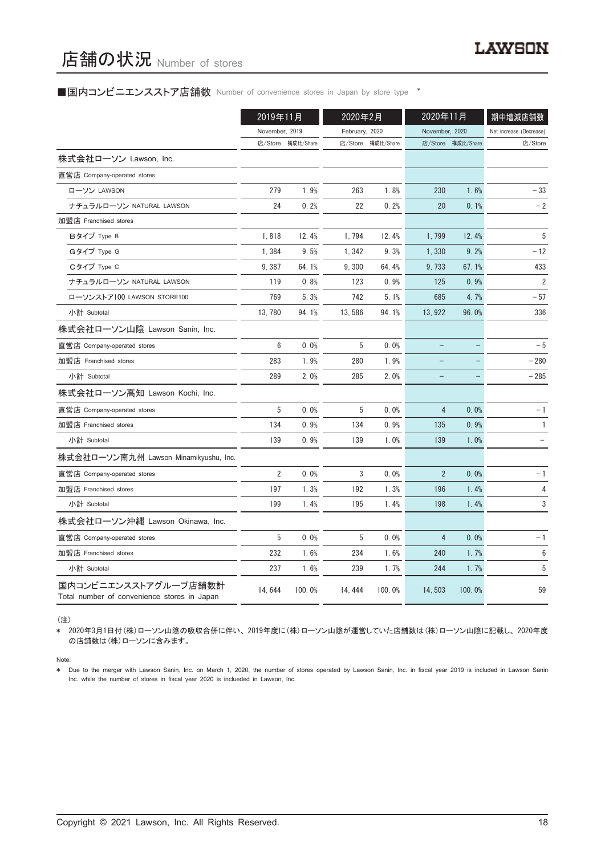### ■国内コンビニエンスストア店舗数 Number of convenience stores in Japan by store type <sup>\*</sup>

|                                                                     | 2019年11月       |                   |                | 2020年2月           |                | 2020年11月          | 期中増減店舗数                 |  |
|---------------------------------------------------------------------|----------------|-------------------|----------------|-------------------|----------------|-------------------|-------------------------|--|
|                                                                     | November, 2019 |                   | February, 2020 |                   | November, 2020 |                   | Net increase (Decrease) |  |
|                                                                     |                | 店/Store 構成比/Share |                | 店/Store 構成比/Share |                | 店/Store 構成比/Share | 店/Store                 |  |
| 株式会社ローソン Lawson, Inc.                                               |                |                   |                |                   |                |                   |                         |  |
| 直営店 Company-operated stores                                         |                |                   |                |                   |                |                   |                         |  |
| ローソン LAWSON                                                         | 279            | 1.9%              | 263            | 1.8%              | 230            | 1.6%              | $-33$                   |  |
| ナチュラルローソン NATURAL LAWSON                                            | 24             | 0.2%              | 22             | 0.2%              | 20             | 0.1%              | $-2$                    |  |
| 加盟店 Franchised stores                                               |                |                   |                |                   |                |                   |                         |  |
| Bタイプ Type B                                                         | 1,818          | 12.4%             | 1,794          | 12.4%             | 1,799          | 12.4%             | 5                       |  |
| Gタイプ Type G                                                         | 1,384          | 9.5%              | 1,342          | 9.3%              | 1,330          | 9.2%              | $-12$                   |  |
| Cタイプ Type C                                                         | 9,387          | 64.1%             | 9,300          | 64.4%             | 9,733          | 67.1%             | 433                     |  |
| ナチュラルローソン NATURAL LAWSON                                            | 119            | 0.8%              | 123            | 0.9%              | 125            | 0.9%              | $\overline{2}$          |  |
| ローソンストア100 LAWSON STORE100                                          | 769            | 5.3%              | 742            | 5.1%              | 685            | 4.7%              | $-57$                   |  |
| 小計 Subtotal                                                         | 13, 780        | 94.1%             | 13,586         | 94.1%             | 13, 922        | 96.0%             | 336                     |  |
| 株式会社ローソン山陰 Lawson Sanin, Inc.                                       |                |                   |                |                   |                |                   |                         |  |
| 直営店 Company-operated stores                                         | 6              | 0.0%              | 5              | 0.0%              |                |                   | $-5$                    |  |
| 加盟店 Franchised stores                                               | 283            | 1.9%              | 280            | 1.9%              |                |                   | $-280$                  |  |
| 小計 Subtotal                                                         | 289            | 2.0%              | 285            | 2.0%              |                |                   | $-285$                  |  |
| 株式会社ローソン高知 Lawson Kochi, Inc.                                       |                |                   |                |                   |                |                   |                         |  |
| 直営店 Company-operated stores                                         | 5              | 0.0%              | 5              | 0.0%              | $\overline{4}$ | 0.0%              | $-1$                    |  |
| 加盟店 Franchised stores                                               | 134            | 0.9%              | 134            | 0.9%              | 135            | 0.9%              | $\mathbf{1}$            |  |
| 小計 Subtotal                                                         | 139            | 0.9%              | 139            | 1.0%              | 139            | 1.0%              |                         |  |
| 株式会社ローソン南九州 Lawson Minamikyushu, Inc.                               |                |                   |                |                   |                |                   |                         |  |
| 直営店 Company-operated stores                                         | $\overline{2}$ | 0.0%              | 3              | 0.0%              | $\overline{2}$ | 0.0%              | $-1$                    |  |
| 加盟店 Franchised stores                                               | 197            | 1.3%              | 192            | 1.3%              | 196            | 1.4%              | 4                       |  |
| 小計 Subtotal                                                         | 199            | 1.4%              | 195            | 1.4%              | 198            | 1.4%              | 3                       |  |
| 株式会社ローソン沖縄 Lawson Okinawa, Inc.                                     |                |                   |                |                   |                |                   |                         |  |
| 直営店 Company-operated stores                                         | 5              | 0.0%              | 5              | 0.0%              | 4              | 0.0%              | $-1$                    |  |
| 加盟店 Franchised stores                                               | 232            | 1.6%              | 234            | 1.6%              | 240            | 1.7%              | 6                       |  |
| 小計 Subtotal                                                         | 237            | 1.6%              | 239            | 1.7%              | 244            | 1.7%              | 5                       |  |
| 国内コンビニエンスストアグループ店舗数計<br>Total number of convenience stores in Japan | 14, 644        | 100.0%            | 14, 444        | 100.0%            | 14, 503        | 100.0%            | 59                      |  |

(注)

\* 2020年3月1日付(株)ローソン山陰の吸収合併に伴い、 2019年度に(株)ローソン山陰が運営していた店舗数は(株)ローソン山陰に記載し、 2020年度 の店舗数は(株)ローソンに含みます。

Note:

\* Due to the merger with Lawson Sanin, Inc. on March 1, 2020, the number of stores operated by Lawson Sanin, Inc. in fiscal year 2019 is included in Lawson Sanin Inc. while the number of stores in fiscal year 2020 is inclueded in Lawson, Inc.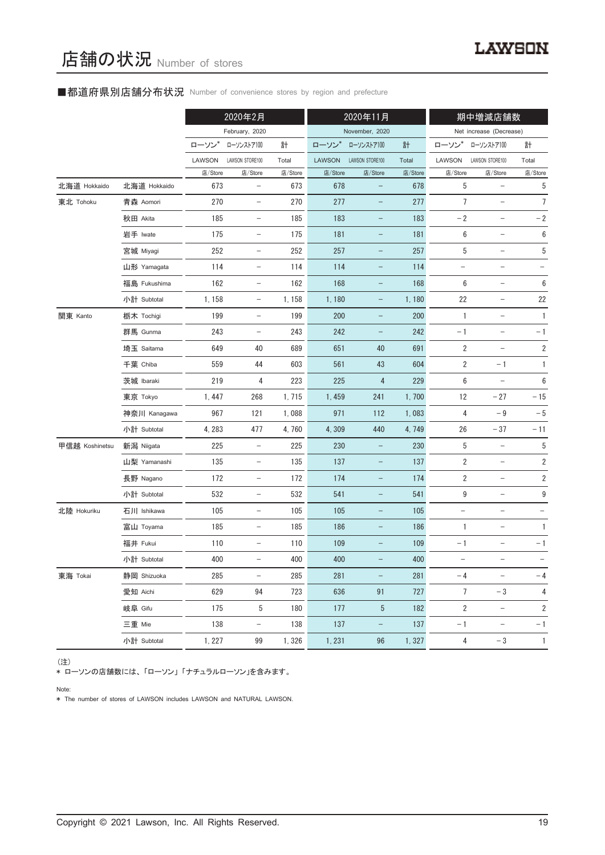# ■都道府県別店舗分布状況 Number of convenience stores by region and prefecture

|                |              |         | 2020年2月                  |         |               | 2020年11月                 |         |                          | 期中増減店舗数                  |                         |
|----------------|--------------|---------|--------------------------|---------|---------------|--------------------------|---------|--------------------------|--------------------------|-------------------------|
|                |              |         | February, 2020           |         |               | November, 2020           |         |                          | Net increase (Decrease)  |                         |
|                |              | ローソン    | ローソンストア100               | 計       | ローソン          | ローソンストア100               | 計       | ローソン                     | ローソンストア100               | 計                       |
|                |              | LAWSON  | LAWSON STORE100          | Total   | <b>LAWSON</b> | LAWSON STORE100          | Total   | LAWSON                   | LAWSON STORE100          | Total                   |
|                |              | 店/Store | 店/Store                  | 店/Store | 店/Store       | 店/Store                  | 店/Store | 店/Store                  | 店/Store                  | 店/Store                 |
| 北海道 Hokkaido   | 北海道 Hokkaido | 673     | $\qquad \qquad -$        | 673     | 678           |                          | 678     | 5                        |                          | 5                       |
| 東北 Tohoku      | 青森 Aomori    | 270     | $\qquad \qquad -$        | 270     | 277           | -                        | 277     | $\overline{7}$           | $\qquad \qquad -$        | $\overline{7}$          |
|                | 秋田 Akita     | 185     | $\qquad \qquad -$        | 185     | 183           | -                        | 183     | $-2$                     | $\overline{\phantom{a}}$ | $-2$                    |
|                | 岩手 Iwate     | 175     |                          | 175     | 181           |                          | 181     | 6                        |                          | 6                       |
|                | 宮城 Miyagi    | 252     | $\qquad \qquad -$        | 252     | 257           | -                        | 257     | 5                        |                          | 5                       |
|                | 山形 Yamagata  | 114     | $\qquad \qquad -$        | 114     | 114           | -                        | 114     | $\overline{\phantom{a}}$ | -                        |                         |
|                | 福島 Fukushima | 162     |                          | 162     | 168           |                          | 168     | 6                        |                          | 6                       |
|                | 小計 Subtotal  | 1,158   | $\qquad \qquad -$        | 1, 158  | 1,180         | -                        | 1,180   | 22                       | $\qquad \qquad -$        | 22                      |
| 関東 Kanto       | 栃木 Tochigi   | 199     | $\overline{\phantom{a}}$ | 199     | 200           | -                        | 200     | 1                        | $\overline{\phantom{a}}$ | $\mathbf{1}$            |
|                | 群馬 Gunma     | 243     | $\qquad \qquad -$        | 243     | 242           |                          | 242     | $-1$                     |                          | $-1$                    |
|                | 埼玉 Saitama   | 649     | 40                       | 689     | 651           | 40                       | 691     | $\sqrt{2}$               | $\overline{\phantom{0}}$ | $\overline{\mathbf{c}}$ |
|                | 千葉 Chiba     | 559     | 44                       | 603     | 561           | 43                       | 604     | 2                        | $-1$                     | $\mathbf{1}$            |
|                | 茨城 Ibaraki   | 219     | 4                        | 223     | 225           | 4                        | 229     | 6                        |                          | $\boldsymbol{6}$        |
|                | 東京 Tokyo     | 1,447   | 268                      | 1,715   | 1,459         | 241                      | 1,700   | 12                       | $-27$                    | $-15$                   |
|                | 神奈川 Kanagawa | 967     | 121                      | 1,088   | 971           | 112                      | 1,083   | 4                        | $-9$                     | $-5$                    |
|                | 小計 Subtotal  | 4, 283  | 477                      | 4,760   | 4,309         | 440                      | 4,749   | 26                       | $-37$                    | $-11$                   |
| 甲信越 Koshinetsu | 新潟 Niigata   | 225     | $\qquad \qquad -$        | 225     | 230           | $\overline{\phantom{0}}$ | 230     | 5                        | $\qquad \qquad -$        | 5                       |
|                | 山梨 Yamanashi | 135     | $\overline{\phantom{a}}$ | 135     | 137           | -                        | 137     | 2                        | $\overline{\phantom{a}}$ | 2                       |
|                | 長野 Nagano    | 172     | $\qquad \qquad -$        | 172     | 174           |                          | 174     | 2                        |                          | $\sqrt{2}$              |
|                | 小計 Subtotal  | 532     | $\qquad \qquad -$        | 532     | 541           | -                        | 541     | 9                        | $\overline{\phantom{0}}$ | 9                       |
| 北陸 Hokuriku    | 石川 Ishikawa  | 105     | $\overline{\phantom{a}}$ | 105     | 105           | -                        | 105     | $\overline{\phantom{a}}$ | $\qquad \qquad -$        |                         |
|                | 富山 Toyama    | 185     |                          | 185     | 186           |                          | 186     | 1                        |                          | $\mathbf{1}$            |
|                | 福井 Fukui     | 110     | $\qquad \qquad -$        | 110     | 109           |                          | 109     | $-1$                     |                          | $-1$                    |
|                | 小計 Subtotal  | 400     |                          | 400     | 400           |                          | 400     |                          |                          |                         |
| 東海 Tokai       | 静岡 Shizuoka  | 285     |                          | 285     | 281           |                          | 281     | $-4$                     |                          | $-4$                    |
|                | 愛知 Aichi     | 629     | 94                       | 723     | 636           | 91                       | 727     | 7                        | $-3$                     | 4                       |
|                | 岐阜 Gifu      | 175     | 5                        | 180     | 177           | 5                        | 182     | $\overline{2}$           | $\overline{\phantom{a}}$ | $\overline{2}$          |
|                | 三重 Mie       | 138     | $\overline{\phantom{0}}$ | 138     | 137           |                          | 137     | $-1$                     | $\overline{\phantom{a}}$ | $-1$                    |
|                | 小計 Subtotal  | 1, 227  | 99                       | 1,326   | 1, 231        | 96                       | 1,327   | $\overline{4}$           | $-3$                     | $\overline{1}$          |

(注)

\* ローソンの店舗数には、 「ローソン」 「ナチュラルローソン」を含みます。

Note:

\* The number of stores of LAWSON includes LAWSON and NATURAL LAWSON.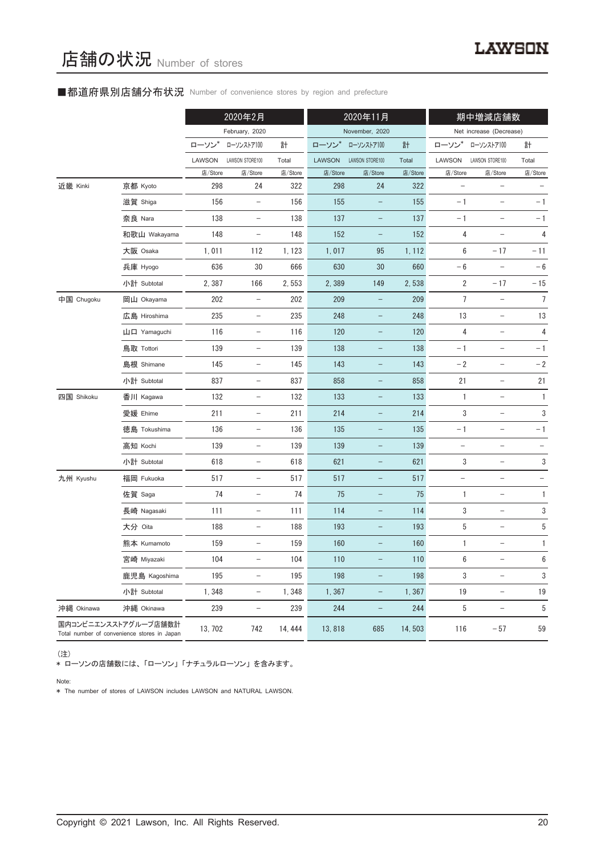# ■都道府県別店舗分布状況 Number of convenience stores by region and prefecture

|            |                                                                     |         | 2020年2月                           |         |               | 2020年11月                 |         |                   | 期中増減店舗数                           |                         |
|------------|---------------------------------------------------------------------|---------|-----------------------------------|---------|---------------|--------------------------|---------|-------------------|-----------------------------------|-------------------------|
|            |                                                                     |         | February, 2020                    |         |               | November, 2020           |         |                   | Net increase (Decrease)           |                         |
|            |                                                                     | ローソン*   | ローソンストア100                        | 計       | ローソン*         | ローソンストア100               | 計       | ローソン              | ローソンストア100                        | 計                       |
|            |                                                                     | LAWSON  | LAWSON STORE100                   | Total   | <b>LAWSON</b> | LAWSON STORE100          | Total   | LAWSON            | LAWSON STORE100                   | Total                   |
|            |                                                                     | 店/Store | 店/Store                           | 店/Store | 店/Store       | 店/Store                  | 店/Store | 店/Store           | 店/Store                           | 店/Store                 |
| 近畿 Kinki   | 京都 Kyoto                                                            | 298     | 24                                | 322     | 298           | 24                       | 322     |                   |                                   |                         |
|            | 滋賀 Shiga                                                            | 156     | $\overline{\phantom{a}}$          | 156     | 155           | $\qquad \qquad -$        | 155     | $-1$              | $\qquad \qquad -$                 | $-1$                    |
|            | 奈良 Nara                                                             | 138     | $\overline{\phantom{0}}$          | 138     | 137           |                          | 137     | $-1$              |                                   | $-1$                    |
|            | 和歌山 Wakayama                                                        | 148     | $\overline{\phantom{a}}$          | 148     | 152           | -                        | 152     | 4                 |                                   | $\overline{\mathbf{r}}$ |
|            | 大阪 Osaka                                                            | 1,011   | 112                               | 1, 123  | 1,017         | 95                       | 1, 112  | 6                 | $-17$                             | $-11$                   |
|            | 兵庫 Hyogo                                                            | 636     | 30                                | 666     | 630           | 30                       | 660     | $-6$              |                                   | $-6$                    |
|            | 小計 Subtotal                                                         | 2,387   | 166                               | 2,553   | 2,389         | 149                      | 2,538   | $\overline{2}$    | $-17$                             | $-15$                   |
| 中国 Chugoku | 岡山 Okayama                                                          | 202     | $\qquad \qquad -$                 | 202     | 209           |                          | 209     | $\overline{7}$    |                                   | $\overline{7}$          |
|            | 広島 Hiroshima                                                        | 235     | $\overline{\phantom{a}}$          | 235     | 248           | -                        | 248     | 13                | $\qquad \qquad -$                 | 13                      |
|            | 山口 Yamaguchi                                                        | 116     | $\qquad \qquad -$                 | 116     | 120           |                          | 120     | 4                 | $\equiv$                          | 4                       |
|            | 鳥取 Tottori                                                          | 139     | $\overline{\phantom{0}}$          | 139     | 138           |                          | 138     | $-1$              | $\overline{\phantom{0}}$          | $-1$                    |
|            | 島根 Shimane                                                          | 145     | $\overline{\phantom{a}}$          | 145     | 143           | $\overline{\phantom{0}}$ | 143     | $-2$              | $\qquad \qquad -$                 | $-2$                    |
|            | 小計 Subtotal                                                         | 837     | $\overline{\phantom{a}}$          | 837     | 858           |                          | 858     | 21                | $\overline{\phantom{0}}$          | 21                      |
| 四国 Shikoku | 香川 Kagawa                                                           | 132     | $\overline{\phantom{a}}$          | 132     | 133           | $\qquad \qquad -$        | 133     | 1                 | $\overline{\phantom{0}}$          | 1                       |
|            | 愛媛 Ehime                                                            | 211     | $\overline{\phantom{0}}$          | 211     | 214           |                          | 214     | 3                 |                                   | $\mathfrak 3$           |
|            | 徳島 Tokushima                                                        | 136     | $\overline{\phantom{a}}$          | 136     | 135           | $\qquad \qquad -$        | 135     | $-1$              | $\qquad \qquad -$                 | $-1$                    |
|            | 高知 Kochi                                                            | 139     | $\qquad \qquad -$                 | 139     | 139           |                          | 139     | $\qquad \qquad -$ | $\overline{\phantom{a}}$          | $\qquad \qquad -$       |
|            | 小計 Subtotal                                                         | 618     | $\overline{\phantom{m}}$          | 618     | 621           |                          | 621     | 3                 | $\overline{\phantom{0}}$          | $\sqrt{3}$              |
| 九州 Kyushu  | 福岡 Fukuoka                                                          | 517     | $\qquad \qquad -$                 | 517     | 517           | $\overline{\phantom{0}}$ | 517     | $\qquad \qquad -$ | $\qquad \qquad -$                 |                         |
|            | 佐賀 Saga                                                             | 74      | $\overline{\phantom{a}}$          | 74      | 75            | -                        | 75      | 1                 | $\qquad \qquad -$                 | 1                       |
|            | 長崎 Nagasaki                                                         | 111     | $\qquad \qquad -$                 | 111     | 114           |                          | 114     | 3                 |                                   | 3                       |
|            | 大分 Oita                                                             | 188     |                                   | 188     | 193           |                          | 193     | 5                 |                                   | 5                       |
|            | 熊本 Kumamoto                                                         | 159     | $\hspace{1.0cm} - \hspace{1.0cm}$ | 159     | 160           | -                        | 160     | 1                 | $\qquad \qquad -$                 | 1                       |
|            | 宮崎 Miyazaki                                                         | 104     | $\qquad \qquad -$                 | 104     | 110           |                          | 110     | 6                 | $\qquad \qquad -$                 | 6                       |
|            | 鹿児島 Kagoshima                                                       | 195     | $\overline{\phantom{0}}$          | 195     | 198           |                          | 198     | 3                 | $\overline{\phantom{0}}$          | 3                       |
|            | 小計 Subtotal                                                         | 1,348   | $\overline{\phantom{a}}$          | 1,348   | 1,367         | $\qquad \qquad -$        | 1,367   | 19                | $\overline{\phantom{a}}$          | 19                      |
| 沖縄 Okinawa | 沖縄 Okinawa                                                          | 239     | $\overline{\phantom{a}}$          | 239     | 244           | $\qquad \qquad -$        | 244     | 5                 | $\hspace{0.1in} - \hspace{0.1in}$ | 5                       |
|            | 国内コンビニエンスストアグループ店舗数計<br>Total number of convenience stores in Japan | 13, 702 | 742                               | 14, 444 | 13,818        | 685                      | 14,503  | 116               | $-57$                             | 59                      |

(注)

\* ローソンの店舗数には、 「ローソン」 「ナチュラルローソン」 を含みます。

Note:

\* The number of stores of LAWSON includes LAWSON and NATURAL LAWSON.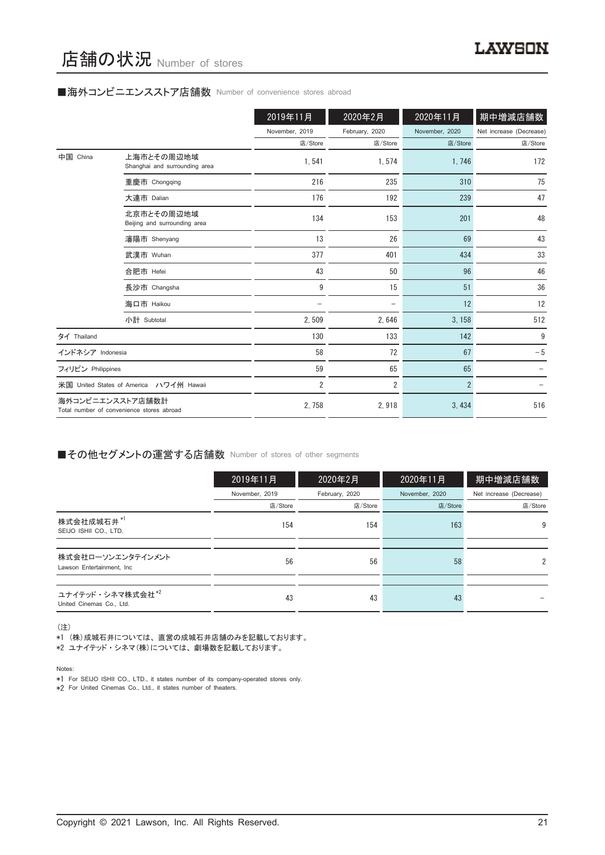# ■海外コンビニエンスストア店舗数 Number of convenience stores abroad

|                   |                                                               | 2019年11月       | 2020年2月        | 2020年11月       | 期中増減店舗数                 |
|-------------------|---------------------------------------------------------------|----------------|----------------|----------------|-------------------------|
|                   |                                                               | November, 2019 | February, 2020 | November, 2020 | Net increase (Decrease) |
|                   |                                                               | 店/Store        | 店/Store        | 店/Store        | 店/Store                 |
| 中国 China          | 上海市とその周辺地域<br>Shanghai and surrounding area                   | 1,541          | 1,574          | 1,746          | 172                     |
|                   | 重慶市 Chongqing                                                 | 216            | 235            | 310            | 75                      |
|                   | 大連市 Dalian                                                    | 176            | 192            | 239            | 47                      |
|                   | 北京市とその周辺地域<br>Beijing and surrounding area                    | 134            | 153            | 201            | 48                      |
|                   | 瀋陽市 Shenyang                                                  | 13             | 26             | 69             | 43                      |
|                   | 武漢市 Wuhan                                                     | 377            | 401            | 434            | 33                      |
|                   | 合肥市 Hefei                                                     | 43             | 50             | 96             | 46                      |
|                   | 長沙市 Changsha                                                  | 9              | 15             | 51             | 36                      |
|                   | 海口市 Haikou                                                    |                |                | 12             | 12                      |
|                   | 小計 Subtotal                                                   | 2,509          | 2,646          | 3, 158         | 512                     |
| タイ Thailand       |                                                               | 130            | 133            | 142            | 9                       |
| インドネシア Indonesia  |                                                               | 58             | 72             | 67             | $-5$                    |
| フィリピン Philippines |                                                               | 59             | 65             | 65             |                         |
|                   | 米国 United States of America ハワイ州 Hawaii                       | $\overline{2}$ | $\overline{2}$ | $\overline{2}$ |                         |
|                   | 海外コンビニエンスストア店舗数計<br>Total number of convenience stores abroad | 2,758          | 2,918          | 3,434          | 516                     |

# ■その他セグメントの運営する店舗数 Number of stores of other segments

|                                                 | 2019年11月       | 2020年2月        | 2020年11月       | 期中増減店舗数                 |
|-------------------------------------------------|----------------|----------------|----------------|-------------------------|
|                                                 | November, 2019 | February, 2020 | November, 2020 | Net increase (Decrease) |
|                                                 | 店/Store        | 店/Store        | 店/Store        | 店/Store                 |
| 株式会社成城石井*1<br>SEIJO ISHII CO., LTD.             | 154            | 154            | 163            | 9                       |
|                                                 |                |                |                |                         |
| 株式会社ローソンエンタテインメント<br>Lawson Entertainment. Inc. | 56             | 56             | 58             | 2                       |
|                                                 |                |                |                |                         |
| ユナイテッド・シネマ株式会社*2<br>United Cinemas Co., Ltd.    | 43             | 43             | 43             |                         |

(注)

\*1 (株)成城石井については、 直営の成城石井店舗のみを記載しております。

\*2 ユナイテッド ・ シネマ(株)については、 劇場数を記載しております。

Notes:

\*1 For SEIJO ISHII CO., LTD., it states number of its company-operated stores only.

\*2 For United Cinemas Co., Ltd., it states number of theaters.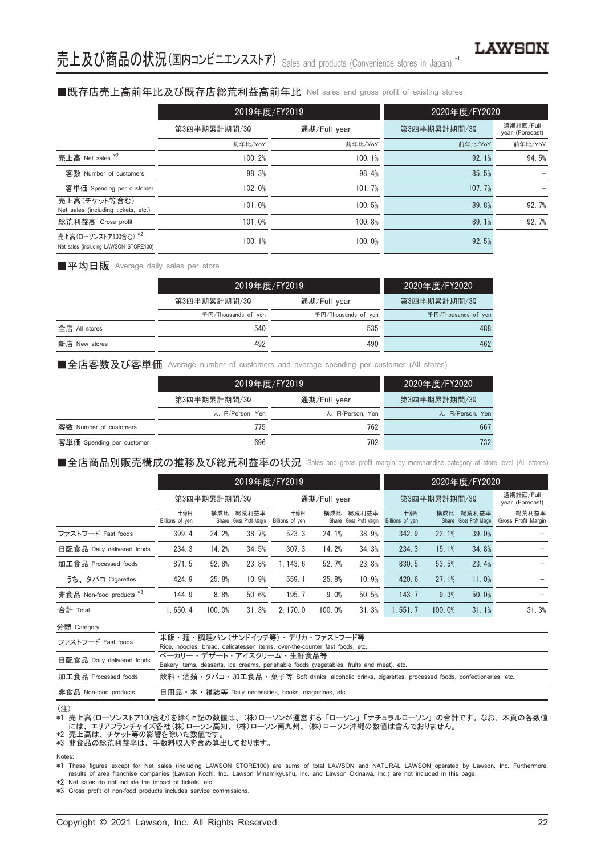# ■既存店売上高前年比及び既存店総荒利益高前年比 Net sales and gross profit of existing stores

|                                                               | 2019年度/FY2019 |              |                                                                                 |                              |  |
|---------------------------------------------------------------|---------------|--------------|---------------------------------------------------------------------------------|------------------------------|--|
|                                                               | 第3四半期累計期間/30  | 通期/Full year | 第3四半期累計期間/30                                                                    | 通期計画/Full<br>year (Forecast) |  |
|                                                               | 前年比/YoY       | 前年比/YoY      | 2020年度/FY2020<br>前年比/YoY<br>92.1%<br>85.5%<br>107.7%<br>89.8%<br>89.1%<br>92.5% | 前年比/YoY                      |  |
| 売上高 Net sales *2                                              | 100.2%        | 100.1%       |                                                                                 | 94.5%                        |  |
| 客数 Number of customers                                        | 98.3%         | 98.4%        |                                                                                 |                              |  |
| 客単価 Spending per customer                                     | 102.0%        | 101.7%       |                                                                                 |                              |  |
| 売上高(チケット等含む)<br>Net sales (including tickets, etc.)           | 101.0%        | 100.5%       |                                                                                 | 92.7%                        |  |
| 総荒利益高 Gross profit                                            | 101.0%        | 100.8%       |                                                                                 | 92.7%                        |  |
| 売上高(ローソンストア100含む) *2<br>Net sales (including LAWSON STORE100) | 100.1%        | 100.0%       |                                                                                 |                              |  |

■平均日販 Average daily sales per store

|               |                     | 2019年度/FY2019       | 2020年度/FY2020       |  |
|---------------|---------------------|---------------------|---------------------|--|
|               | 第3四半期累計期間/30        | 通期/Full year        | 第3四半期累計期間/30        |  |
|               | 千円/Thousands of yen | 千円/Thousands of yen | 千円/Thousands of yen |  |
| 全店 All stores | 540                 | 535                 | 488                 |  |
| 新店 New stores | 492                 | 490                 | 462                 |  |

■全店客数及び客単価 Average number of customers and average spending per customer (All stores)

|                           | 2019年度/FY2019   |                 | 2020年度/FY2020   |  |
|---------------------------|-----------------|-----------------|-----------------|--|
|                           | 第3四半期累計期間/30    | 通期/Full year    | 第3四半期累計期間/30    |  |
|                           | 人、円/Person, Yen | 人、円/Person, Yen | 人、円/Person, Yen |  |
| 客数 Number of customers    | 775             | 762             | 667             |  |
| 客単価 Spending per customer | 696             | 702             | 732             |  |

■全店商品別販売構成の推移及び総荒利益率の状況 Sales and gross profit margin by merchandise category at store level (All stores)

|                                     |                        | 2019年度/FY2019 |                                    |                        |        |                                    | 2020年度/FY2020          |        |                                    |                              |
|-------------------------------------|------------------------|---------------|------------------------------------|------------------------|--------|------------------------------------|------------------------|--------|------------------------------------|------------------------------|
|                                     | 第3四半期累計期間/30           |               |                                    | 通期/Full year           |        |                                    | 第3四半期累計期間/30           |        |                                    | 通期計画/Full<br>year (Forecast) |
|                                     | 十億円<br>Billions of yen | 構成比           | 総荒利益率<br>Share Gross Profit Margin | 十億円<br>Billions of yen | 構成比    | 総荒利益率<br>Share Gross Profit Margin | 十億円<br>Billions of yen | 構成比    | 総荒利益率<br>Share Gross Profit Margin | 総荒利益率<br>Gross Profit Margin |
| ファストフード Fast foods                  | 399.4                  | 24.2%         | 38.7%                              | 523.3                  | 24.1%  | 38.9%                              | 342.9                  | 22.1%  | 39.0%                              |                              |
| 日配食品 Daily delivered foods          | 234.3                  | 14.2%         | 34.5%                              | 307.3                  | 14.2%  | 34.3%                              | 234.3                  | 15.1%  | 34.8%                              |                              |
| 加工食品 Processed foods                | 871.5                  | 52.8%         | 23.8%                              | 1.143.6                | 52.7%  | 23.8%                              | 830.5                  | 53.5%  | 23.4%                              |                              |
| うち、タバコ Cigarettes                   | 424.9                  | 25.8%         | 10.9%                              | 559.1                  | 25.8%  | 10.9%                              | 420.6                  | 27.1%  | 11.0%                              |                              |
| 非食品 Non-food products <sup>*3</sup> | 144.9                  | 8.8%          | 50.6%                              | 195.7                  | 9.0%   | 50.5%                              | 143.7                  | 9.3%   | 50.0%                              |                              |
| 合計 Total                            | 1.650.4                | 100.0%        | 31.3%                              | 2.170.0                | 100.0% | 31.3%                              | 1.551.7                | 100.0% | 31.1%                              | 31.3%                        |

分類 Category

| 飲料・酒類・タバコ・加工食品・菓子等 Soft drinks, alcoholic drinks, cigarettes, processed foods, confectioneries, etc. |
|------------------------------------------------------------------------------------------------------|
|                                                                                                      |
|                                                                                                      |

#### (注)

\*1 売上高(ローソンストア100含む)を除く上記の数値は、 (株)ローソンが運営する 「ローソン」 「ナチュラルローソン」 の合計です。 なお、 本頁の各数値 には、 エリアフランチャイズ各社(株)ローソン高知、 (株)ローソン南九州、 (株)ローソン沖縄の数値は含んでおりません。 \*2 売上高は、 チケット等の影響を除いた数値です。

\*3 非食品の総荒利益率は、 手数料収入を含め算出しております。

Notes:

\*1 These figures except for Net sales (including LAWSON STORE100) are sums of total LAWSON and NATURAL LAWSON operated by Lawson, Inc. Furthermore, results of area franchise companies (Lawson Kochi, Inc., Lawson Minamikyushu, Inc. and Lawson Okinawa, Inc.) are not included in this page.

\*2 Net sales do not include the impact of tickets, etc.

\*3 Gross profit of non-food products includes service commissions.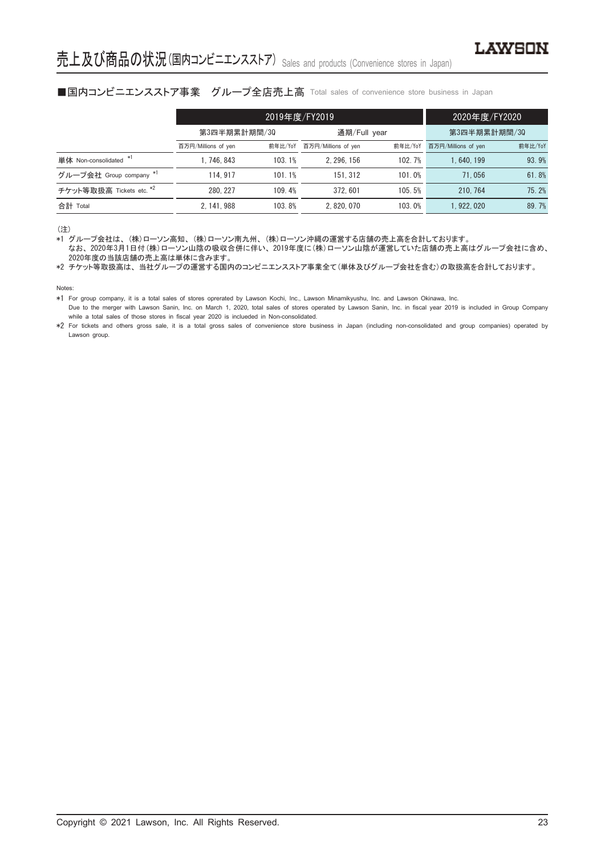# ■国内コンビニエンスストア事業 グループ全店売上高 Total sales of convenience store business in Japan

|                          |                     | 2019年度/FY2019 | 2020年度/FY2020                  |        |                     |         |
|--------------------------|---------------------|---------------|--------------------------------|--------|---------------------|---------|
|                          | 第3四半期累計期間/30        |               | 通期/Full year                   |        | 第3四半期累計期間/30        |         |
|                          | 百万円/Millions of yen | 前年比/YoY       | 前年比/YoY<br>百万円/Millions of yen |        | 百万円/Millions of yen | 前年比/YoY |
| 単体 Non-consolidated *1   | 1.746.843           | 103.1%        | 2.296.156                      | 102.7% | 1.640.199           | 93.9%   |
| グループ会社 Group company *1  | 114.917             | 101.1%        | 151.312                        | 101.0% | 71.056              | 61.8%   |
| チケット等取扱高 Tickets etc. *2 | 280.227             | 109.4%        | 372.601                        | 105.5% | 210, 764            | 75.2%   |
| 合計 Total                 | 2.141.988           | 103.8%        | 2.820.070                      | 103.0% | 1.922.020           | 89.7%   |

(注)

\*1 グループ会社は、 (株)ローソン高知、 (株)ローソン南九州、 (株)ローソン沖縄の運営する店舗の売上高を合計しております。

なお、 2020年3月1日付(株)ローソン山陰の吸収合併に伴い、 2019年度に(株)ローソン山陰が運営していた店舗の売上高はグループ会社に含め、 2020年度の当該店舗の売上高は単体に含みます。

\*2 チケット等取扱高は、 当社グループの運営する国内のコンビニエンスストア事業全て(単体及びグループ会社を含む)の取扱高を合計しております。

Notes:

\*1 For group company, it is a total sales of stores oprerated by Lawson Kochi, Inc., Lawson Minamikyushu, Inc. and Lawson Okinawa, Inc.

Due to the merger with Lawson Sanin, Inc. on March 1, 2020, total sales of stores operated by Lawson Sanin, Inc. in fiscal year 2019 is included in Group Company while a total sales of those stores in fiscal year 2020 is inclueded in Non-consolidated.

\*2 For tickets and others gross sale, it is a total gross sales of convenience store business in Japan (including non-consolidated and group companies) operated by Lawson group.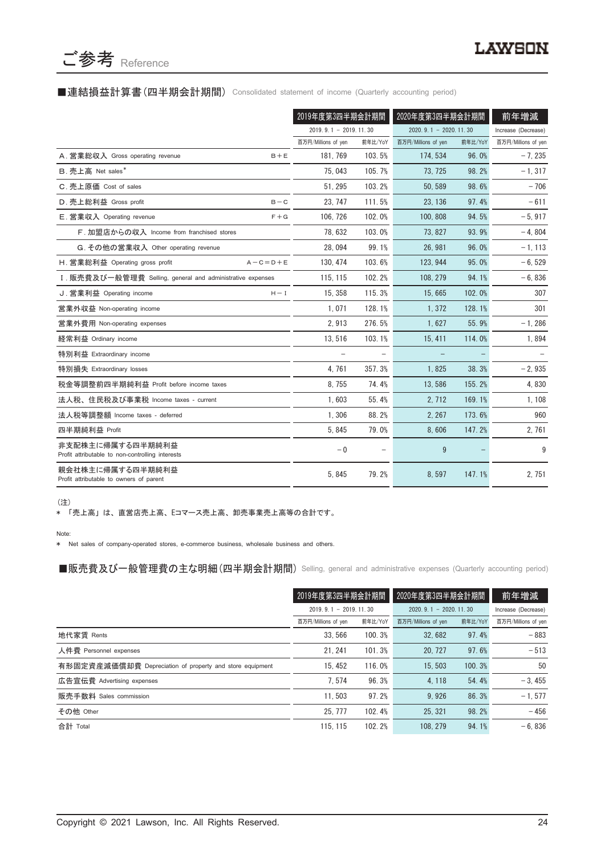

# ■連結損益計算書(四半期会計期間) Consolidated statement of income (Quarterly accounting period)

|                                                                      | 2019年度第3四半期会計期間         |         | 2020年度第3四半期会計期間         |         | 前年増減                |
|----------------------------------------------------------------------|-------------------------|---------|-------------------------|---------|---------------------|
|                                                                      | $2019.9.1 - 2019.11.30$ |         | $2020.9.1 - 2020.11.30$ |         | Increase (Decrease) |
|                                                                      | 百万円/Millions of yen     | 前年比/YoY | 百万円/Millions of yen     | 前年比/YoY | 百万円/Millions of yen |
| A. 営業総収入 Gross operating revenue<br>$B + E$                          | 181, 769                | 103.5%  | 174, 534                | 96.0%   | $-7,235$            |
| B. 売上高 Net sales*                                                    | 75,043                  | 105.7%  | 73, 725                 | 98.2%   | $-1, 317$           |
| C. 売上原価 Cost of sales                                                | 51.295                  | 103.2%  | 50.589                  | 98.6%   | $-706$              |
| D. 売上総利益 Gross profit<br>$B - C$                                     | 23.747                  | 111.5%  | 23.136                  | 97.4%   | $-611$              |
| E. 営業収入 Operating revenue<br>$F + G$                                 | 106, 726                | 102.0%  | 100.808                 | 94.5%   | $-5,917$            |
| F. 加盟店からの収入 Income from franchised stores                            | 78,632                  | 103.0%  | 73, 827                 | 93.9%   | $-4,804$            |
| G. その他の営業収入 Other operating revenue                                  | 28.094                  | 99.1%   | 26.981                  | 96.0%   | $-1, 113$           |
| H. 営業総利益 Operating gross profit<br>$A - C = D + E$                   | 130.474                 | 103.6%  | 123.944                 | 95.0%   | $-6, 529$           |
| I. 販売費及び一般管理費 Selling, general and administrative expenses           | 115.115                 | 102.2%  | 108.279                 | 94.1%   | $-6,836$            |
| J. 営業利益 Operating income<br>$H - I$                                  | 15, 358                 | 115.3%  | 15.665                  | 102.0%  | 307                 |
| 営業外収益 Non-operating income                                           | 1.071                   | 128.1%  | 1.372                   | 128.1%  | 301                 |
| 営業外費用 Non-operating expenses                                         | 2,913                   | 276.5%  | 1,627                   | 55.9%   | $-1,286$            |
| 経常利益 Ordinary income                                                 | 13,516                  | 103.1%  | 15, 411                 | 114.0%  | 1,894               |
| 特別利益 Extraordinary income                                            |                         |         |                         |         |                     |
| 特別損失 Extraordinary losses                                            | 4.761                   | 357.3%  | 1.825                   | 38.3%   | $-2,935$            |
| 税金等調整前四半期純利益 Profit before income taxes                              | 8,755                   | 74.4%   | 13,586                  | 155.2%  | 4,830               |
| 法人税、住民税及び事業税 Income taxes - current                                  | 1,603                   | 55.4%   | 2,712                   | 169.1%  | 1,108               |
| 法人税等調整額 Income taxes - deferred                                      | 1,306                   | 88.2%   | 2, 267                  | 173.6%  | 960                 |
| 四半期純利益 Profit                                                        | 5.845                   | 79.0%   | 8.606                   | 147.2%  | 2,761               |
| 非支配株主に帰属する四半期純利益<br>Profit attributable to non-controlling interests | $-0$                    |         | 9                       |         | 9                   |
| 親会社株主に帰属する四半期純利益<br>Profit attributable to owners of parent          | 5,845                   | 79.2%   | 8,597                   | 147.1%  | 2,751               |

(注)

\* 「売上高」 は、 直営店売上高、 Eコマース売上高、 卸売事業売上高等の合計です。

Note:

\* Net sales of company-operated stores, e-commerce business, wholesale business and others.

■販売費及び一般管理費の主な明細 (四半期会計期間) Selling, general and administrative expenses (Quarterly accounting period)

|                                                          | 2019年度第3四半期会計期間                                    |         | 2020年度第3四半期会計期間     |         | 前年増減                |
|----------------------------------------------------------|----------------------------------------------------|---------|---------------------|---------|---------------------|
|                                                          | $2019.9.1 - 2019.11.30$<br>$2020.9.1 - 2020.11.30$ |         | Increase (Decrease) |         |                     |
|                                                          | 百万円/Millions of yen                                | 前年比/YoY | 百万円/Millions of yen | 前年比/YoY | 百万円/Millions of yen |
| 地代家賃 Rents                                               | 33.566                                             | 100.3%  | 32.682              | 97.4%   | $-883$              |
| 人件費 Personnel expenses                                   | 21.241                                             | 101.3%  | 20.727              | 97.6%   | $-513$              |
| 有形固定資産減価償却費 Depreciation of property and store equipment | 15.452                                             | 116.0%  | 15.503              | 100.3%  | 50                  |
| 広告宣伝費 Advertising expenses                               | 7.574                                              | 96.3%   | 4, 118              | 54.4%   | $-3.455$            |
| 販売手数料 Sales commission                                   | 11.503                                             | 97.2%   | 9.926               | 86.3%   | $-1, 577$           |
| その他 Other                                                | 25, 777                                            | 102.4%  | 25.321              | 98.2%   | $-456$              |
| 合計 Total                                                 | 115.115                                            | 102.2%  | 108.279             | 94.1%   | $-6.836$            |